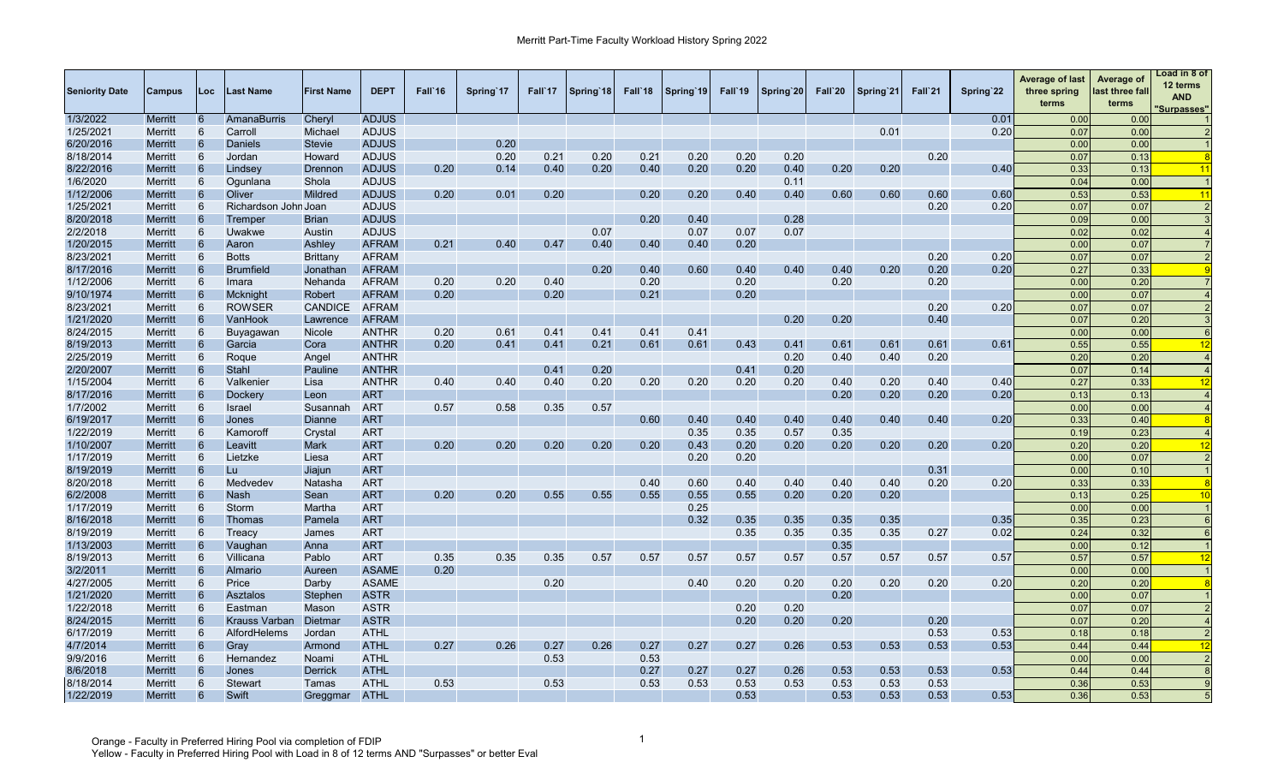| <b>Seniority Date</b> | Campus         | <b>Loc</b> | ast Name             | <b>First Name</b> | <b>DEPT</b>  | Fall 16 | Spring 17 | Fall`17 | Spring 18 | Fall 18 | Spring 19 | Fall'19 | Spring 20 | Fall`20 | Spring 21 | Fall`21 | Spring 22 | <b>Average of last</b><br>three spring<br>terms | Average of<br>last three fall<br>terms | oad in 8 of<br>12 terms<br><b>AND</b><br><b>Surpasses"</b> |
|-----------------------|----------------|------------|----------------------|-------------------|--------------|---------|-----------|---------|-----------|---------|-----------|---------|-----------|---------|-----------|---------|-----------|-------------------------------------------------|----------------------------------------|------------------------------------------------------------|
| 1/3/2022              | <b>Merritt</b> | 6          | <b>AmanaBurris</b>   | Cheryl            | <b>ADJUS</b> |         |           |         |           |         |           |         |           |         |           |         | 0.01      | 0.00                                            | 0.00                                   |                                                            |
| 1/25/2021             | Merritt        | 6          | Carroll              | Michael           | <b>ADJUS</b> |         |           |         |           |         |           |         |           |         | 0.01      |         | 0.20      | 0.07                                            | 0.00                                   |                                                            |
| 6/20/2016             | <b>Merritt</b> | 6          | Daniels              | <b>Stevie</b>     | <b>ADJUS</b> |         | 0.20      |         |           |         |           |         |           |         |           |         |           | 0.00                                            | 0.00                                   |                                                            |
| 8/18/2014             | <b>Merritt</b> | 6          | Jordan               | Howard            | <b>ADJUS</b> |         | 0.20      | 0.21    | 0.20      | 0.21    | 0.20      | 0.20    | 0.20      |         |           | 0.20    |           | 0.07                                            | 0.13                                   |                                                            |
| 8/22/2016             | Merritt        | 6          | Lindsey              | Drennor           | <b>ADJUS</b> | 0.20    | 0.14      | 0.40    | 0.20      | 0.40    | 0.20      | 0.20    | 0.40      | 0.20    | 0.20      |         | 0.40      | 0.33                                            | 0.13                                   | 11                                                         |
| 1/6/2020              | Merritt        | 6          | Ogunlana             | Shola             | <b>ADJUS</b> |         |           |         |           |         |           |         | 0.11      |         |           |         |           | 0.04                                            | 0.00                                   |                                                            |
| 1/12/2006             | Merritt        | 6          | Oliver               | <b>Mildred</b>    | <b>ADJUS</b> | 0.20    | 0.01      | 0.20    |           | 0.20    | 0.20      | 0.40    | 0.40      | 0.60    | 0.60      | 0.60    | 0.60      | 0.53                                            | 0.53                                   | 11                                                         |
| 1/25/2021             | Merritt        |            | Richardson John Joan |                   | <b>ADJUS</b> |         |           |         |           |         |           |         |           |         |           | 0.20    | 0.20      | 0.07                                            | 0.07                                   |                                                            |
| 8/20/2018             | Merritt        | 6          | Tremper              | <b>Brian</b>      | <b>ADJUS</b> |         |           |         |           | 0.20    | 0.40      |         | 0.28      |         |           |         |           | 0.09                                            | 0.00                                   |                                                            |
| 2/2/2018              | Merritt        | 6          | Uwakwe               | Austin            | <b>ADJUS</b> |         |           |         | 0.07      |         | 0.07      | 0.07    | 0.07      |         |           |         |           | 0.02                                            | 0.02                                   |                                                            |
| 1/20/2015             | Merritt        | 6          | Aaron                | Ashley            | <b>AFRAM</b> | 0.21    | 0.40      | 0.47    | 0.40      | 0.40    | 0.40      | 0.20    |           |         |           |         |           | 0.00                                            | 0.07                                   |                                                            |
| 8/23/2021             | Merritt        |            | <b>Botts</b>         | Brittany          | <b>AFRAM</b> |         |           |         |           |         |           |         |           |         |           | 0.20    | 0.20      | 0.07                                            | 0.07                                   |                                                            |
| 8/17/2016             | Merritt        | 6          | <b>Brumfield</b>     | Jonathan          | <b>AFRAM</b> |         |           |         | 0.20      | 0.40    | 0.60      | 0.40    | 0.40      | 0.40    | 0.20      | 0.20    | 0.20      | 0.27                                            | 0.33                                   |                                                            |
| 1/12/2006             | Merritt        |            | Imara                | Nehanda           | <b>AFRAM</b> | 0.20    | 0.20      | 0.40    |           | 0.20    |           | 0.20    |           | 0.20    |           | 0.20    |           | 0.00                                            | 0.20                                   |                                                            |
| 9/10/1974             | Merritt        | 6          | Mcknight             | Robert            | <b>AFRAM</b> | 0.20    |           | 0.20    |           | 0.21    |           | 0.20    |           |         |           |         |           | 0.00                                            | 0.07                                   |                                                            |
| 8/23/2021             | Merritt        |            | <b>ROWSER</b>        | <b>CANDICE</b>    | <b>AFRAM</b> |         |           |         |           |         |           |         |           |         |           | 0.20    | 0.20      | 0.07                                            | 0.07                                   |                                                            |
| 1/21/2020             | Merritt        | 6          | VanHook              | Lawrence          | <b>AFRAM</b> |         |           |         |           |         |           |         | 0.20      | 0.20    |           | 0.40    |           | 0.07                                            | 0.20                                   |                                                            |
| 8/24/2015             | Merritt        |            | Buyagawan            | Nicole            | <b>ANTHR</b> | 0.20    | 0.61      | 0.41    | 0.41      | 0.41    | 0.41      |         |           |         |           |         |           | 0.00                                            | 0.00                                   |                                                            |
| 8/19/2013             | Merritt        | 6          | Garcia               | Cora              | <b>ANTHR</b> | 0.20    | 0.41      | 0.41    | 0.21      | 0.61    | 0.61      | 0.43    | 0.41      | 0.61    | 0.61      | 0.61    | 0.61      | 0.55                                            | 0.55                                   | 12                                                         |
| 2/25/2019             | <b>Merritt</b> |            | Roque                | Angel             | <b>ANTHR</b> |         |           |         |           |         |           |         | 0.20      | 0.40    | 0.40      | 0.20    |           | 0.20                                            | 0.20                                   |                                                            |
| 2/20/2007             | <b>Merritt</b> | 6          | Stahl                | Pauline           | <b>ANTHR</b> |         |           | 0.41    | 0.20      |         |           | 0.41    | 0.20      |         |           |         |           | 0.07                                            | 0.14                                   |                                                            |
| 1/15/2004             | Merritt        | 6          | Valkenier            | Lisa              | <b>ANTHR</b> | 0.40    | 0.40      | 0.40    | 0.20      | 0.20    | 0.20      | 0.20    | 0.20      | 0.40    | 0.20      | 0.40    | 0.40      | 0.27                                            | 0.33                                   | 12                                                         |
| 8/17/2016             | <b>Merritt</b> | 6          | Dockery              | Leon              | <b>ART</b>   |         |           |         |           |         |           |         |           | 0.20    | 0.20      | 0.20    | 0.20      | 0.13                                            | 0.13                                   |                                                            |
| 1/7/2002              | Merritt        | 6          | Israel               | Susannah          | <b>ART</b>   | 0.57    | 0.58      | 0.35    | 0.57      |         |           |         |           |         |           |         |           | 0.00                                            | 0.00                                   |                                                            |
| 6/19/2017             | <b>Merritt</b> | 6          | Jones                | Dianne            | <b>ART</b>   |         |           |         |           | 0.60    | 0.40      | 0.40    | 0.40      | 0.40    | 0.40      | 0.40    | 0.20      | 0.33                                            | 0.40                                   |                                                            |
| 1/22/2019             | Merritt        | 6          | Kamoroff             | Crystal           | <b>ART</b>   |         |           |         |           |         | 0.35      | 0.35    | 0.57      | 0.35    |           |         |           | 0.19                                            | 0.23                                   |                                                            |
| 1/10/2007             | Merritt        | 6          | Leavitt              | <b>Mark</b>       | <b>ART</b>   | 0.20    | 0.20      | 0.20    | 0.20      | 0.20    | 0.43      | 0.20    | 0.20      | 0.20    | 0.20      | 0.20    | 0.20      | 0.20                                            | 0.20                                   | 12                                                         |
| 1/17/2019             | Merritt        | 6          | Lietzke              | Liesa             | <b>ART</b>   |         |           |         |           |         | 0.20      | 0.20    |           |         |           |         |           | 0.00                                            | 0.07                                   | $\tilde{z}$                                                |
| 8/19/2019             | <b>Merritt</b> | 6          | Lu.                  | Jiajun            | <b>ART</b>   |         |           |         |           |         |           |         |           |         |           | 0.31    |           | 0.00                                            | 0.10                                   |                                                            |
| 8/20/2018             | Merritt        | 6          | Medvedev             | Natasha           | <b>ART</b>   |         |           |         |           | 0.40    | 0.60      | 0.40    | 0.40      | 0.40    | 0.40      | 0.20    | 0.20      | 0.33                                            | 0.33                                   |                                                            |
| 6/2/2008              | Merritt        | 6          | <b>Nash</b>          | Sean              | <b>ART</b>   | 0.20    | 0.20      | 0.55    | 0.55      | 0.55    | 0.55      | 0.55    | 0.20      | 0.20    | 0.20      |         |           | 0.13                                            | 0.25                                   | 10                                                         |
| 1/17/2019             | Merritt        | 6          | Storm                | Martha            | <b>ART</b>   |         |           |         |           |         | 0.25      |         |           |         |           |         |           | 0.00                                            | 0.00                                   |                                                            |
| 8/16/2018             | Merritt        | 6          | Thomas               | Pamela            | <b>ART</b>   |         |           |         |           |         | 0.32      | 0.35    | 0.35      | 0.35    | 0.35      |         | 0.35      | 0.35                                            | 0.23                                   | $\epsilon$                                                 |
| 8/19/2019             | Merritt        | 6          | Treacy               | James             | <b>ART</b>   |         |           |         |           |         |           | 0.35    | 0.35      | 0.35    | 0.35      | 0.27    | 0.02      | 0.24                                            | 0.32                                   |                                                            |
| 1/13/2003             | Merritt        |            | Vaughan              | Anna              | <b>ART</b>   |         |           |         |           |         |           |         |           | 0.35    |           |         |           | 0.00                                            | 0.12                                   |                                                            |
| 8/19/2013             | Merritt        | 6          | Villicana            | Pablo             | <b>ART</b>   | 0.35    | 0.35      | 0.35    | 0.57      | 0.57    | 0.57      | 0.57    | 0.57      | 0.57    | 0.57      | 0.57    | 0.57      | 0.57                                            | 0.57                                   | 12                                                         |
| 3/2/2011              | <b>Merritt</b> |            | Almario              | Aureen            | <b>ASAME</b> | 0.20    |           |         |           |         |           |         |           |         |           |         |           | 0.00                                            | 0.00                                   |                                                            |
| 4/27/2005             | Merritt        | 6          | Price                | Darby             | <b>ASAME</b> |         |           | 0.20    |           |         | 0.40      | 0.20    | 0.20      | 0.20    | 0.20      | 0.20    | 0.20      | 0.20                                            | 0.20                                   |                                                            |
| 1/21/2020             | Merritt        | 6          | Asztalos             | Stephen           | <b>ASTR</b>  |         |           |         |           |         |           |         |           | 0.20    |           |         |           | 0.00                                            | 0.07                                   |                                                            |
| 1/22/2018             | <b>Merritt</b> | 6          | Eastman              | Mason             | <b>ASTR</b>  |         |           |         |           |         |           | 0.20    | 0.20      |         |           |         |           | 0.07                                            | 0.07                                   |                                                            |
| 8/24/2015             | <b>Merritt</b> |            | <b>Krauss Varban</b> | Dietmar           | <b>ASTR</b>  |         |           |         |           |         |           | 0.20    | 0.20      | 0.20    |           | 0.20    |           | 0.07                                            | 0.20                                   |                                                            |
| 6/17/2019             | Merritt        | 6          | AlfordHelems         | Jordan            | <b>ATHL</b>  |         |           |         |           |         |           |         |           |         |           | 0.53    | 0.53      | 0.18                                            | 0.18                                   |                                                            |
| 4/7/2014              | Merritt        | 6          | Gray                 | Armond            | <b>ATHL</b>  | 0.27    | 0.26      | 0.27    | 0.26      | 0.27    | 0.27      | 0.27    | 0.26      | 0.53    | 0.53      | 0.53    | 0.53      | 0.44                                            | 0.44                                   | 12                                                         |
| 9/9/2016              | Merritt        | 6          | Hernandez            | Noami             | <b>ATHL</b>  |         |           | 0.53    |           | 0.53    |           |         |           |         |           |         |           | 0.00                                            | 0.00                                   | 2                                                          |
| 8/6/2018              | Merritt        | 6          | Jones                | Derrick           | <b>ATHL</b>  |         |           |         |           | 0.27    | 0.27      | 0.27    | 0.26      | 0.53    | 0.53      | 0.53    | 0.53      | 0.44                                            | 0.44                                   | $\overline{8}$                                             |
| 8/18/2014             | <b>Merritt</b> |            | <b>Stewart</b>       | Tamas             | <b>ATHL</b>  | 0.53    |           | 0.53    |           | 0.53    | 0.53      | 0.53    | 0.53      | 0.53    | 0.53      | 0.53    |           | 0.36                                            | 0.53                                   | $\mathbf{q}$                                               |
| 1/22/2019             | Merritt        | 6          | Swift                | Greggmar          | ATHL         |         |           |         |           |         |           | 0.53    |           | 0.53    | 0.53      | 0.53    | 0.53      | 0.36                                            | 0.53                                   |                                                            |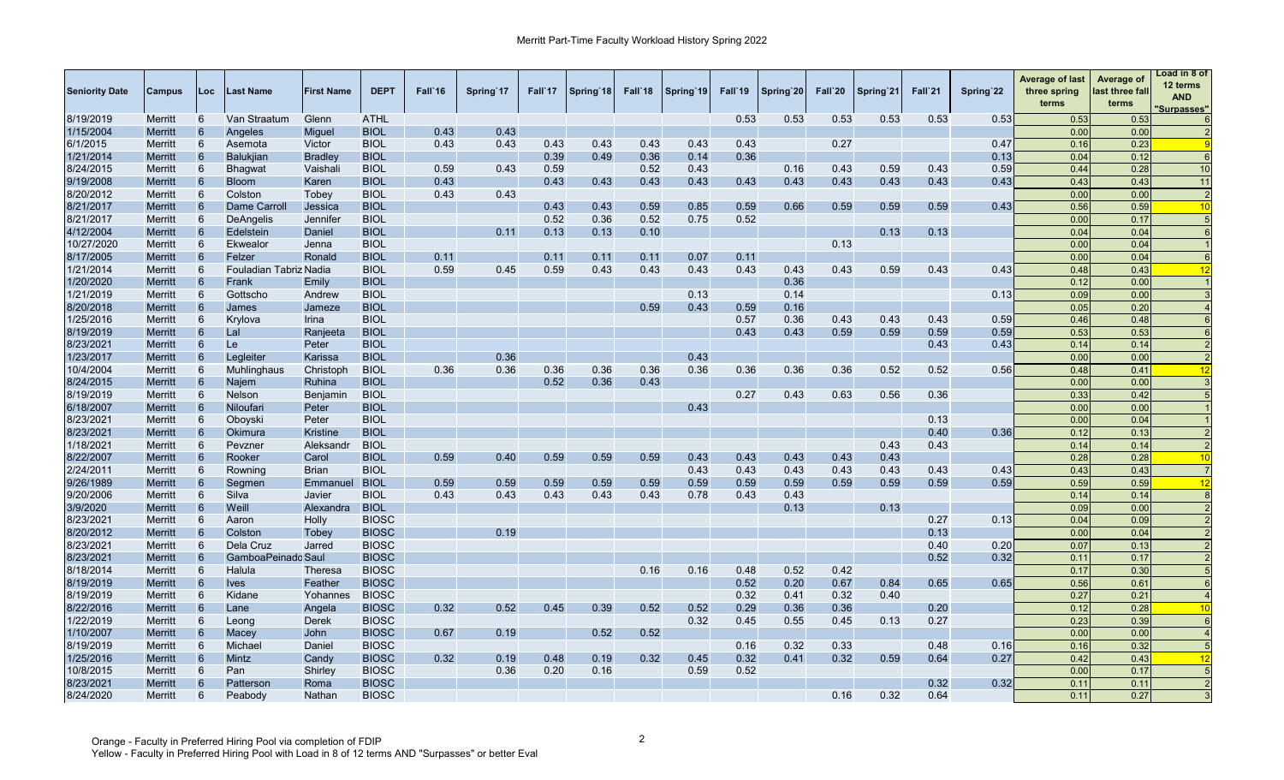| <b>Seniority Date</b> | <b>Campus</b>             | Loc             | Last Name              | <b>First Name</b> | <b>DEPT</b>  | Fall`16 | Spring 17 | Fall 17 | Spring 18 | Fall 18 | Spring 19 | Fall'19 | Spring 20 | Fall`20 | Spring 21 | Fall`21 | Spring 22 | <b>Average of last</b><br>three spring<br>terms | Average of<br>last three fall<br>terms | Load in 8 of<br>12 terms<br><b>AND</b><br>Surpasses" |
|-----------------------|---------------------------|-----------------|------------------------|-------------------|--------------|---------|-----------|---------|-----------|---------|-----------|---------|-----------|---------|-----------|---------|-----------|-------------------------------------------------|----------------------------------------|------------------------------------------------------|
| 8/19/2019             | <b>Merritt</b>            | 6               | Van Straatum           | Glenn             | <b>ATHL</b>  |         |           |         |           |         |           | 0.53    | 0.53      | 0.53    | 0.53      | 0.53    | 0.53      | 0.53                                            | 0.53                                   |                                                      |
| 1/15/2004             | <b>Merritt</b>            | $6\phantom{1}6$ | Angeles                | Miguel            | <b>BIOL</b>  | 0.43    | 0.43      |         |           |         |           |         |           |         |           |         |           | 0.00                                            | 0.00                                   |                                                      |
| 6/1/2015              | Merritt                   | 6               | Asemota                | Victor            | <b>BIOL</b>  | 0.43    | 0.43      | 0.43    | 0.43      | 0.43    | 0.43      | 0.43    |           | 0.27    |           |         | 0.47      | 0.16                                            | 0.23                                   |                                                      |
| 1/21/2014             | <b>Merritt</b>            | 6               | <b>Balukiian</b>       | <b>Bradlev</b>    | <b>BIOL</b>  |         |           | 0.39    | 0.49      | 0.36    | 0.14      | 0.36    |           |         |           |         | 0.13      | 0.04                                            | 0.12                                   |                                                      |
| 8/24/2015             | Merritt                   | 6               | <b>Bhagwat</b>         | Vaishali          | <b>BIOL</b>  | 0.59    | 0.43      | 0.59    |           | 0.52    | 0.43      |         | 0.16      | 0.43    | 0.59      | 0.43    | 0.59      | 0.44                                            | 0.28                                   | 10                                                   |
| 9/19/2008             | <b>Merritt</b>            | 6               | <b>Bloom</b>           | Karen             | <b>BIOL</b>  | 0.43    |           | 0.43    | 0.43      | 0.43    | 0.43      | 0.43    | 0.43      | 0.43    | 0.43      | 0.43    | 0.43      | 0.43                                            | 0.43                                   | 11                                                   |
| 8/20/2012             | Merritt                   | 6               | Colston                | Tobey             | <b>BIOL</b>  | 0.43    | 0.43      |         |           |         |           |         |           |         |           |         |           | 0.00                                            | 0.00                                   | 2                                                    |
| 8/21/2017             | <b>Merritt</b>            | 6               | Dame Carroll           | Jessica           | <b>BIOL</b>  |         |           | 0.43    | 0.43      | 0.59    | 0.85      | 0.59    | 0.66      | 0.59    | 0.59      | 0.59    | 0.43      | 0.56                                            | 0.59                                   | 10                                                   |
| 8/21/2017             | Merritt                   | 6               | DeAngelis              | Jennifer          | <b>BIOL</b>  |         |           | 0.52    | 0.36      | 0.52    | 0.75      | 0.52    |           |         |           |         |           | 0.00                                            | 0.17                                   |                                                      |
| 4/12/2004             | <b>Merritt</b>            | 6               | Edelstein              | Daniel            | <b>BIOL</b>  |         | 0.11      | 0.13    | 0.13      | 0.10    |           |         |           |         | 0.13      | 0.13    |           | 0.04                                            | 0.04                                   |                                                      |
| 10/27/2020            | <b>Merritt</b>            | 6               | Ekwealor               | Jenna             | <b>BIOL</b>  |         |           |         |           |         |           |         |           | 0.13    |           |         |           | 0.00                                            | 0.04                                   |                                                      |
| 8/17/2005             | <b>Merritt</b>            | 6               | Felzer                 | Ronald            | <b>BIOL</b>  | 0.11    |           | 0.11    | 0.11      | 0.11    | 0.07      | 0.11    |           |         |           |         |           | 0.00                                            | 0.04                                   |                                                      |
| 1/21/2014             | <b>Merritt</b>            | 6               | Fouladian Tabriz Nadia |                   | <b>BIOL</b>  | 0.59    | 0.45      | 0.59    | 0.43      | 0.43    | 0.43      | 0.43    | 0.43      | 0.43    | 0.59      | 0.43    | 0.43      | 0.48                                            | 0.43                                   | 12                                                   |
| 1/20/2020             | <b>Merritt</b>            | 6               | Frank                  | Emily             | <b>BIOL</b>  |         |           |         |           |         |           |         | 0.36      |         |           |         |           | 0.12                                            | 0.00                                   |                                                      |
| 1/21/2019             | <b>Merritt</b>            | 6               | Gottscho               | Andrew            | <b>BIOL</b>  |         |           |         |           |         | 0.13      |         | 0.14      |         |           |         | 0.13      | 0.09                                            | 0.00                                   |                                                      |
| 8/20/2018             | <b>Merritt</b>            |                 | James                  | Jameze            | <b>BIOL</b>  |         |           |         |           | 0.59    | 0.43      | 0.59    | 0.16      |         |           |         |           | 0.05                                            | 0.20                                   |                                                      |
| 1/25/2016             | Merritt                   | 6               | Krylova                | <b>Irina</b>      | <b>BIOL</b>  |         |           |         |           |         |           | 0.57    | 0.36      | 0.43    | 0.43      | 0.43    | 0.59      | 0.46                                            | 0.48                                   |                                                      |
| 8/19/2019             | <b>Merritt</b>            | 6               | Lal                    | Ranjeeta          | <b>BIOL</b>  |         |           |         |           |         |           | 0.43    | 0.43      | 0.59    | 0.59      | 0.59    | 0.59      | 0.53                                            | 0.53                                   | $\epsilon$                                           |
| 8/23/2021             | <b>Merritt</b>            | 6               | Le                     | Peter             | <b>BIOL</b>  |         |           |         |           |         |           |         |           |         |           | 0.43    | 0.43      | 0.14                                            | 0.14                                   |                                                      |
| 1/23/2017             | <b>Merritt</b>            | 6               | Legleiter              | Karissa           | <b>BIOL</b>  |         | 0.36      |         |           |         | 0.43      |         |           |         |           |         |           | 0.00                                            | 0.00                                   |                                                      |
| 10/4/2004             | <b>Merritt</b>            | 6               | Muhlinghaus            | Christoph         | <b>BIOL</b>  | 0.36    | 0.36      | 0.36    | 0.36      | 0.36    | 0.36      | 0.36    | 0.36      | 0.36    | 0.52      | 0.52    | 0.56      | 0.48                                            | 0.41                                   | 12                                                   |
| 8/24/2015             | Merritt                   | 6               | Najem                  | Ruhina            | <b>BIOL</b>  |         |           | 0.52    | 0.36      | 0.43    |           |         |           |         |           |         |           | 0.00                                            | 0.00                                   |                                                      |
| 8/19/2019             | <b>Merritt</b>            | 6               | Nelson                 | Benjamin          | <b>BIOL</b>  |         |           |         |           |         |           | 0.27    | 0.43      | 0.63    | 0.56      | 0.36    |           | 0.33                                            | 0.42                                   |                                                      |
| 6/18/2007             | <b>Merritt</b>            | 6               | Niloufari              | Peter             | <b>BIOL</b>  |         |           |         |           |         | 0.43      |         |           |         |           |         |           | 0.00                                            | 0.00                                   |                                                      |
| 8/23/2021             | Merritt                   | 6               | Oboyski                | Peter             | <b>BIOL</b>  |         |           |         |           |         |           |         |           |         |           | 0.13    |           | 0.00                                            | 0.04                                   |                                                      |
| 8/23/2021             | <b>Merritt</b>            | 6               | Okimura                | <b>Kristine</b>   | <b>BIOL</b>  |         |           |         |           |         |           |         |           |         |           | 0.40    | 0.36      | 0.12                                            | 0.13                                   |                                                      |
| 1/18/2021             | <b>Merritt</b>            | 6               | Pevzner                | Aleksandr         | <b>BIOL</b>  |         |           |         |           |         |           |         |           |         | 0.43      | 0.43    |           | 0.14                                            | 0.14                                   | 2                                                    |
| 8/22/2007             | <b>Merritt</b>            | 6               | Rooker                 | Carol             | <b>BIOL</b>  | 0.59    | 0.40      | 0.59    | 0.59      | 0.59    | 0.43      | 0.43    | 0.43      | 0.43    | 0.43      |         |           | 0.28                                            | 0.28                                   | 10                                                   |
| 2/24/2011             | <b>Merritt</b>            | 6               | Rowning                | <b>Brian</b>      | <b>BIOL</b>  |         |           |         |           |         | 0.43      | 0.43    | 0.43      | 0.43    | 0.43      | 0.43    | 0.43      | 0.43                                            | 0.43                                   | $\overline{7}$                                       |
| 9/26/1989             | Merritt                   | 6               | Segmen                 | Emmanuel          | <b>BIOL</b>  | 0.59    | 0.59      | 0.59    | 0.59      | 0.59    | 0.59      | 0.59    | 0.59      | 0.59    | 0.59      | 0.59    | 0.59      | 0.59                                            | 0.59                                   | 12                                                   |
| 9/20/2006             | <b>Merritt</b>            | 6               | Silva                  | Javier            | <b>BIOL</b>  | 0.43    | 0.43      | 0.43    | 0.43      | 0.43    | 0.78      | 0.43    | 0.43      |         |           |         |           | 0.14                                            | 0.14                                   |                                                      |
| 3/9/2020              | Merritt                   | 6               | Weill                  | Alexandra         | <b>BIOL</b>  |         |           |         |           |         |           |         | 0.13      |         | 0.13      |         |           | 0.09                                            | 0.00                                   |                                                      |
| 8/23/2021             | Merritt                   | 6               | Aaron                  | Holly             | <b>BIOSC</b> |         |           |         |           |         |           |         |           |         |           | 0.27    | 0.13      | 0.04                                            | 0.09                                   |                                                      |
| 8/20/2012             | <b>Merritt</b>            | 6               | Colston                | Tobey             | <b>BIOSC</b> |         | 0.19      |         |           |         |           |         |           |         |           | 0.13    |           | 0.00                                            | 0.04                                   |                                                      |
| 8/23/2021             |                           | 6               | Dela Cruz              | Jarred            | <b>BIOSC</b> |         |           |         |           |         |           |         |           |         |           | 0.40    | 0.20      | 0.07                                            | 0.13                                   |                                                      |
| 8/23/2021             | Merritt<br><b>Merritt</b> | 6               | GamboaPeinadc Saul     |                   | <b>BIOSC</b> |         |           |         |           |         |           |         |           |         |           | 0.52    | 0.32      | 0.11                                            | 0.17                                   |                                                      |
|                       |                           | 6               |                        |                   |              |         |           |         |           |         |           |         |           |         |           |         |           | 0.17                                            |                                        | 5                                                    |
| 8/18/2014             | <b>Merritt</b>            | 6               | Halula                 | Theresa           | <b>BIOSC</b> |         |           |         |           | 0.16    | 0.16      | 0.48    | 0.52      | 0.42    |           |         |           |                                                 | 0.30                                   | $\epsilon$                                           |
| 8/19/2019             | <b>Merritt</b>            |                 | <b>Ives</b>            | Feather           | <b>BIOSC</b> |         |           |         |           |         |           | 0.52    | 0.20      | 0.67    | 0.84      | 0.65    | 0.65      | 0.56                                            | 0.61                                   | $\overline{4}$                                       |
| 8/19/2019             | <b>Merritt</b>            | 6               | Kidane                 | Yohannes          | <b>BIOSC</b> |         |           |         |           |         |           | 0.32    | 0.41      | 0.32    | 0.40      |         |           | 0.27                                            | 0.21                                   |                                                      |
| 8/22/2016             | <b>Merritt</b>            | 6               | Lane                   | Angela            | <b>BIOSC</b> | 0.32    | 0.52      | 0.45    | 0.39      | 0.52    | 0.52      | 0.29    | 0.36      | 0.36    |           | 0.20    |           | 0.12                                            | 0.28                                   | 10                                                   |
| 1/22/2019             | Merritt                   | 6               | Leong                  | Derek             | <b>BIOSC</b> |         |           |         |           |         | 0.32      | 0.45    | 0.55      | 0.45    | 0.13      | 0.27    |           | 0.23                                            | 0.39                                   |                                                      |
| 1/10/2007             | <b>Merritt</b>            | 6               | Macey                  | John              | <b>BIOSC</b> | 0.67    | 0.19      |         | 0.52      | 0.52    |           |         |           |         |           |         |           | 0.00                                            | 0.00                                   |                                                      |
| 8/19/2019             | Merritt                   | 6               | Michael                | Daniel            | <b>BIOSC</b> |         |           |         |           |         |           | 0.16    | 0.32      | 0.33    |           | 0.48    | 0.16      | 0.16                                            | 0.32                                   |                                                      |
| 1/25/2016             | <b>Merritt</b>            | 6               | Mintz                  | Candy             | <b>BIOSC</b> | 0.32    | 0.19      | 0.48    | 0.19      | 0.32    | 0.45      | 0.32    | 0.41      | 0.32    | 0.59      | 0.64    | 0.27      | 0.42                                            | 0.43                                   | 12                                                   |
| 10/8/2015             | Merritt                   | 6               | Pan                    | Shirley           | <b>BIOSC</b> |         | 0.36      | 0.20    | 0.16      |         | 0.59      | 0.52    |           |         |           |         |           | 0.00                                            | 0.17                                   |                                                      |
| 8/23/2021             | <b>Merritt</b>            | 6               | Patterson              | Roma              | <b>BIOSC</b> |         |           |         |           |         |           |         |           |         |           | 0.32    | 0.32      | 0.11                                            | 0.11                                   | $\overline{2}$                                       |
| 8/24/2020             | <b>Merritt</b>            | 6               | Peabody                | Nathan            | <b>BIOSC</b> |         |           |         |           |         |           |         |           | 0.16    | 0.32      | 0.64    |           | 0.11                                            | 0.27                                   | $\mathbf{3}$                                         |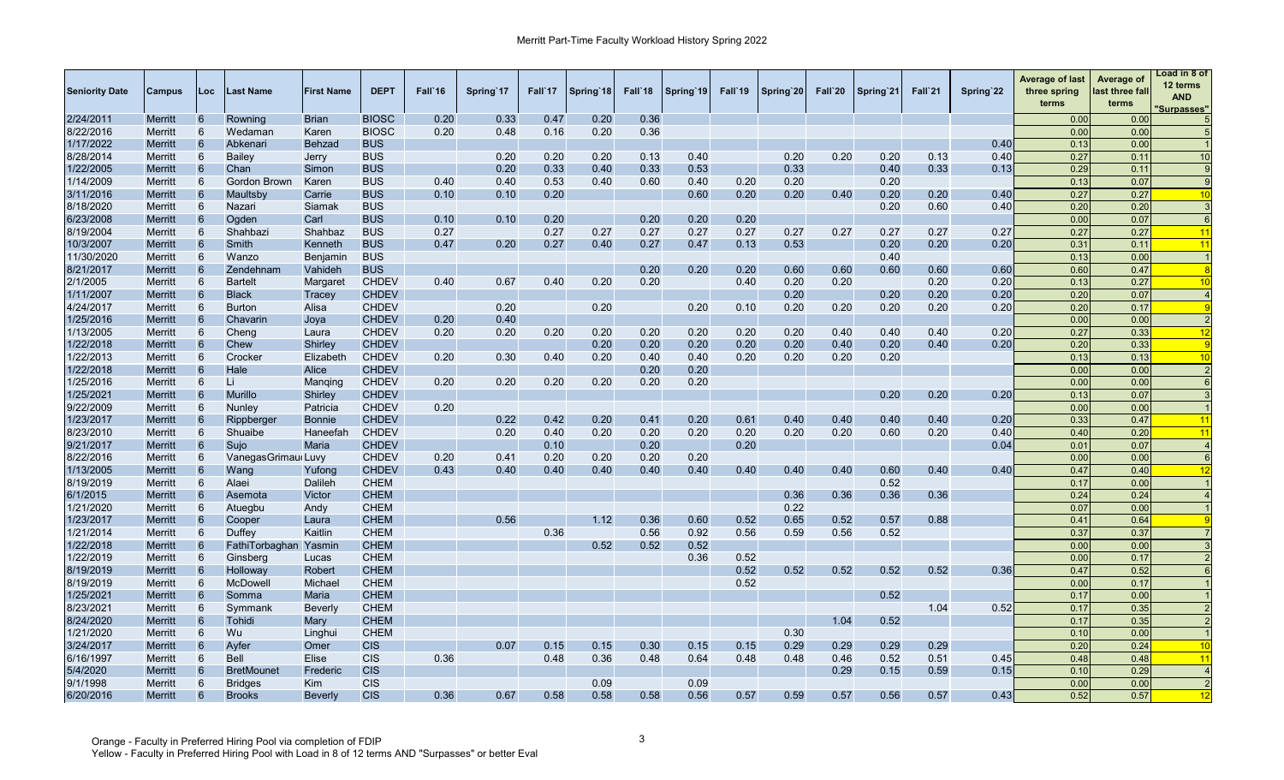| <b>Seniority Date</b>  | Campus         | Loc | Last Name           | <b>First Name</b> | <b>DEPT</b>  | Fall 16 | Spring'17 | Fall'17 | Spring 18 | Fall 18 | Spring 19 | Fall 19 | Spring 20 | Fall`20 | Spring 21 | Fall`21 | Spring 22 | <b>Average of last</b><br>three spring<br>terms | Average of<br>last three fall<br>terms | Load in 8 of<br>12 terms<br><b>AND</b><br>Surpasses" |
|------------------------|----------------|-----|---------------------|-------------------|--------------|---------|-----------|---------|-----------|---------|-----------|---------|-----------|---------|-----------|---------|-----------|-------------------------------------------------|----------------------------------------|------------------------------------------------------|
| 2/24/2011              | <b>Merritt</b> | 6   | Rowning             | <b>Brian</b>      | <b>BIOSC</b> | 0.20    | 0.33      | 0.47    | 0.20      | 0.36    |           |         |           |         |           |         |           | 0.00                                            | 0.00                                   |                                                      |
| 8/22/2016              | Merritt        | 6   | Wedaman             | Karen             | <b>BIOSC</b> | 0.20    | 0.48      | 0.16    | 0.20      | 0.36    |           |         |           |         |           |         |           | 0.00                                            | 0.00                                   |                                                      |
| 1/17/2022              | Merritt        | 6   | Abkenari            | <b>Behzad</b>     | <b>BUS</b>   |         |           |         |           |         |           |         |           |         |           |         | 0.40      | 0.13                                            | 0.00                                   |                                                      |
| 8/28/2014              | Merritt        | 6   | Bailey              | Jerry             | <b>BUS</b>   |         | 0.20      | 0.20    | 0.20      | 0.13    | 0.40      |         | 0.20      | 0.20    | 0.20      | 0.13    | 0.40      | 0.27                                            | 0.11                                   | 10                                                   |
| 1/22/2005              | <b>Merritt</b> | 6   | Chan                | Simon             | <b>BUS</b>   |         | 0.20      | 0.33    | 0.40      | 0.33    | 0.53      |         | 0.33      |         | 0.40      | 0.33    | 0.13      | 0.29                                            | 0.11                                   |                                                      |
| 1/14/2009              | Merritt        | 6   | Gordon Brown        | Karen             | <b>BUS</b>   | 0.40    | 0.40      | 0.53    | 0.40      | 0.60    | 0.40      | 0.20    | 0.20      |         | 0.20      |         |           | 0.13                                            | 0.07                                   |                                                      |
| 3/11/2016              | <b>Merritt</b> | 6   | Maultsby            | Carrie            | <b>BUS</b>   | 0.10    | 0.10      | 0.20    |           |         | 0.60      | 0.20    | 0.20      | 0.40    | 0.20      | 0.20    | 0.40      | 0.27                                            | 0.27                                   |                                                      |
| 8/18/2020              | Merritt        | 6   | Nazari              | Siamak            | <b>BUS</b>   |         |           |         |           |         |           |         |           |         | 0.20      | 0.60    | 0.40      | 0.20                                            | 0.20                                   |                                                      |
| 6/23/2008              | <b>Merritt</b> | 6   | Ogden               | Carl              | <b>BUS</b>   | 0.10    | 0.10      | 0.20    |           | 0.20    | 0.20      | 0.20    |           |         |           |         |           | 0.00                                            | 0.07                                   |                                                      |
| 8/19/2004              | Merritt        | 6   | Shahbazi            | Shahbaz           | <b>BUS</b>   | 0.27    |           | 0.27    | 0.27      | 0.27    | 0.27      | 0.27    | 0.27      | 0.27    | 0.27      | 0.27    | 0.27      | 0.27                                            | 0.27                                   | 1 <sup>2</sup>                                       |
| 10/3/2007              | <b>Merritt</b> | 6   | Smith               | Kenneth           | <b>BUS</b>   | 0.47    | 0.20      | 0.27    | 0.40      | 0.27    | 0.47      | 0.13    | 0.53      |         | 0.20      | 0.20    | 0.20      | 0.31                                            | 0.11                                   | $\blacktriangleleft$                                 |
| 11/30/2020             | Merritt        | 6   | Wanzo               | Benjamin          | <b>BUS</b>   |         |           |         |           |         |           |         |           |         | 0.40      |         |           | 0.13                                            | 0.00                                   |                                                      |
| 8/21/2017              | <b>Merritt</b> | 6   | Zendehnam           | Vahideh           | <b>BUS</b>   |         |           |         |           | 0.20    | 0.20      | 0.20    | 0.60      | 0.60    | 0.60      | 0.60    | 0.60      | 0.60                                            | 0.47                                   |                                                      |
| 2/1/2005               | Merritt        |     | <b>Bartelt</b>      | Margaret          | <b>CHDEV</b> | 0.40    | 0.67      | 0.40    | 0.20      | 0.20    |           | 0.40    | 0.20      | 0.20    |           | 0.20    | 0.20      | 0.13                                            | 0.27                                   | 1 <sup>c</sup>                                       |
| 1/11/2007              | <b>Merritt</b> | 6   | <b>Black</b>        | Tracey            | <b>CHDEV</b> |         |           |         |           |         |           |         | 0.20      |         | 0.20      | 0.20    | 0.20      | 0.20                                            | 0.07                                   |                                                      |
| 4/24/2017              | Merritt        |     | <b>Burton</b>       | Alisa             | <b>CHDEV</b> |         | 0.20      |         | 0.20      |         | 0.20      | 0.10    | 0.20      | 0.20    | 0.20      | 0.20    | 0.20      | 0.20                                            | 0.17                                   |                                                      |
| 1/25/2016              | <b>Merritt</b> | 6   | Chavarin            | Joya              | <b>CHDEV</b> | 0.20    | 0.40      |         |           |         |           |         |           |         |           |         |           | 0.00                                            | 0.00                                   |                                                      |
| 1/13/2005              | Merritt        | 6   | Cheng               | Laura             | <b>CHDEV</b> | 0.20    | 0.20      | 0.20    | 0.20      | 0.20    | 0.20      | 0.20    | 0.20      | 0.40    | 0.40      | 0.40    | 0.20      | 0.27                                            | 0.33                                   | 12                                                   |
| 1/22/2018              | Merritt        | 6   | Chew                | Shirley           | <b>CHDEV</b> |         |           |         | 0.20      | 0.20    | 0.20      | 0.20    | 0.20      | 0.40    | 0.20      | 0.40    | 0.20      | 0.20                                            | 0.33                                   |                                                      |
| 1/22/2013              | Merritt        | 6   | Crocker             | Elizabeth         | <b>CHDEV</b> | 0.20    | 0.30      | 0.40    | 0.20      | 0.40    | 0.40      | 0.20    | 0.20      | 0.20    | 0.20      |         |           | 0.13                                            | 0.13                                   |                                                      |
| 1/22/2018              | Merritt        | 6   | Hale                | Alice             | <b>CHDEV</b> |         |           |         |           | 0.20    | 0.20      |         |           |         |           |         |           | 0.00                                            | 0.00                                   |                                                      |
| 1/25/2016              | <b>Merritt</b> | 6   | Li                  | Manging           | <b>CHDEV</b> | 0.20    | 0.20      | 0.20    | 0.20      | 0.20    | 0.20      |         |           |         |           |         |           | 0.00                                            | 0.00                                   |                                                      |
| 1/25/2021              | <b>Merritt</b> | 6   | <b>Murillo</b>      | Shirley           | <b>CHDEV</b> |         |           |         |           |         |           |         |           |         | 0.20      | 0.20    | 0.20      | 0.13                                            | 0.07                                   |                                                      |
| 9/22/2009              | Merritt        | 6   | Nunley              | Patricia          | <b>CHDEV</b> | 0.20    |           |         |           |         |           |         |           |         |           |         |           | 0.00                                            | 0.00                                   |                                                      |
| 1/23/2017              | <b>Merritt</b> | 6   | Rippberger          | <b>Bonnie</b>     | <b>CHDEV</b> |         | 0.22      | 0.42    | 0.20      | 0.41    | 0.20      | 0.61    | 0.40      | 0.40    | 0.40      | 0.40    | 0.20      | 0.33                                            | 0.47                                   | $\overline{11}$                                      |
| 8/23/2010              | Merritt        | 6   | Shuaibe             | Haneefah          | <b>CHDEV</b> |         | 0.20      | 0.40    | 0.20      | 0.20    | 0.20      | 0.20    | 0.20      | 0.20    | 0.60      | 0.20    | 0.40      | 0.40                                            | 0.20                                   | 11                                                   |
|                        |                | 6   |                     |                   |              |         |           |         |           |         |           |         |           |         |           |         |           |                                                 | 0.07                                   |                                                      |
| 9/21/2017<br>8/22/2016 | Merritt        | 6   | Sujo                | Maria             | <b>CHDEV</b> |         |           | 0.10    |           | 0.20    |           | 0.20    |           |         |           |         | 0.04      | 0.01                                            |                                        |                                                      |
|                        | Merritt        |     | Vanegas Grimau Luvy |                   | <b>CHDEV</b> | 0.20    | 0.41      | 0.20    | 0.20      | 0.20    | 0.20      |         |           |         |           |         |           | 0.00                                            | 0.00                                   |                                                      |
| 1/13/2005              | <b>Merritt</b> | 6   | Wang                | Yufong            | <b>CHDEV</b> | 0.43    | 0.40      | 0.40    | 0.40      | 0.40    | 0.40      | 0.40    | 0.40      | 0.40    | 0.60      | 0.40    | 0.40      | 0.47                                            | 0.40                                   |                                                      |
| 8/19/2019              | Merritt        | 6   | Alaei               | Dalileh           | <b>CHEM</b>  |         |           |         |           |         |           |         |           |         | 0.52      |         |           | 0.17                                            | 0.00                                   |                                                      |
| 6/1/2015               | Merritt        | 6   | Asemota             | Victor            | <b>CHEM</b>  |         |           |         |           |         |           |         | 0.36      | 0.36    | 0.36      | 0.36    |           | 0.24                                            | 0.24                                   |                                                      |
| 1/21/2020              | Merritt        | 6   | Atuegbu             | Andy              | <b>CHEM</b>  |         |           |         |           |         |           |         | 0.22      |         |           |         |           | 0.07                                            | 0.00                                   |                                                      |
| 1/23/2017              | Merritt        | 6   | Cooper              | Laura             | <b>CHEM</b>  |         | 0.56      |         | 1.12      | 0.36    | 0.60      | 0.52    | 0.65      | 0.52    | 0.57      | 0.88    |           | 0.41                                            | 0.64                                   |                                                      |
| 1/21/2014              | Merritt        | 6   | Duffey              | Kaitlin           | <b>CHEM</b>  |         |           | 0.36    |           | 0.56    | 0.92      | 0.56    | 0.59      | 0.56    | 0.52      |         |           | 0.37                                            | 0.37                                   |                                                      |
| 1/22/2018              | <b>Merritt</b> |     | FathiTorbaghan      | Yasmin            | <b>CHEM</b>  |         |           |         | 0.52      | 0.52    | 0.52      |         |           |         |           |         |           | 0.00                                            | 0.00                                   |                                                      |
| 1/22/2019              | Merritt        | 6   | Ginsberg            | Lucas             | <b>CHEM</b>  |         |           |         |           |         | 0.36      | 0.52    |           |         |           |         |           | 0.00                                            | 0.17                                   |                                                      |
| 8/19/2019              | <b>Merritt</b> |     | Holloway            | Robert            | <b>CHEM</b>  |         |           |         |           |         |           | 0.52    | 0.52      | 0.52    | 0.52      | 0.52    | 0.36      | 0.47                                            | 0.52                                   |                                                      |
| 8/19/2019              | Merritt        | 6   | McDowell            | Michael           | <b>CHEM</b>  |         |           |         |           |         |           | 0.52    |           |         |           |         |           | 0.00                                            | 0.17                                   |                                                      |
| 1/25/2021              | Merritt        | 6   | Somma               | Maria             | <b>CHEM</b>  |         |           |         |           |         |           |         |           |         | 0.52      |         |           | 0.17                                            | 0.00                                   |                                                      |
| 8/23/2021              | Merritt        | 6   | Symmank             | Beverly           | <b>CHEM</b>  |         |           |         |           |         |           |         |           |         |           | 1.04    | 0.52      | 0.17                                            | 0.35                                   |                                                      |
| 8/24/2020              | <b>Merritt</b> | 6   | Tohidi              | Mary              | <b>CHEM</b>  |         |           |         |           |         |           |         |           | 1.04    | 0.52      |         |           | 0.17                                            | 0.35                                   |                                                      |
| 1/21/2020              | Merritt        | 6   | Wu                  | Linghui           | <b>CHEM</b>  |         |           |         |           |         |           |         | 0.30      |         |           |         |           | 0.10                                            | 0.00                                   |                                                      |
| 3/24/2017              | <b>Merritt</b> | 6   | Ayfer               | Omer              | <b>CIS</b>   |         | 0.07      | 0.15    | 0.15      | 0.30    | 0.15      | 0.15    | 0.29      | 0.29    | 0.29      | 0.29    |           | 0.20                                            | 0.24                                   | 10                                                   |
| 6/16/1997              | <b>Merritt</b> | 6   | <b>Bell</b>         | Elise             | <b>CIS</b>   | 0.36    |           | 0.48    | 0.36      | 0.48    | 0.64      | 0.48    | 0.48      | 0.46    | 0.52      | 0.51    | 0.45      | 0.48                                            | 0.48                                   | $\overline{11}$                                      |
| 5/4/2020               | Merritt        | 6   | <b>BretMounet</b>   | Frederic          | <b>CIS</b>   |         |           |         |           |         |           |         |           | 0.29    | 0.15      | 0.59    | 0.15      | 0.10                                            | 0.29                                   |                                                      |
| 9/1/1998               | Merritt        | 6   | <b>Bridges</b>      | <b>Kim</b>        | <b>CIS</b>   |         |           |         | 0.09      |         | 0.09      |         |           |         |           |         |           | 0.00                                            | 0.00                                   |                                                      |
| 6/20/2016              | <b>Merritt</b> | 6   | <b>Brooks</b>       | Beverly           | <b>CIS</b>   | 0.36    | 0.67      | 0.58    | 0.58      | 0.58    | 0.56      | 0.57    | 0.59      | 0.57    | 0.56      | 0.57    | 0.43      | 0.52                                            | 0.57                                   | 12                                                   |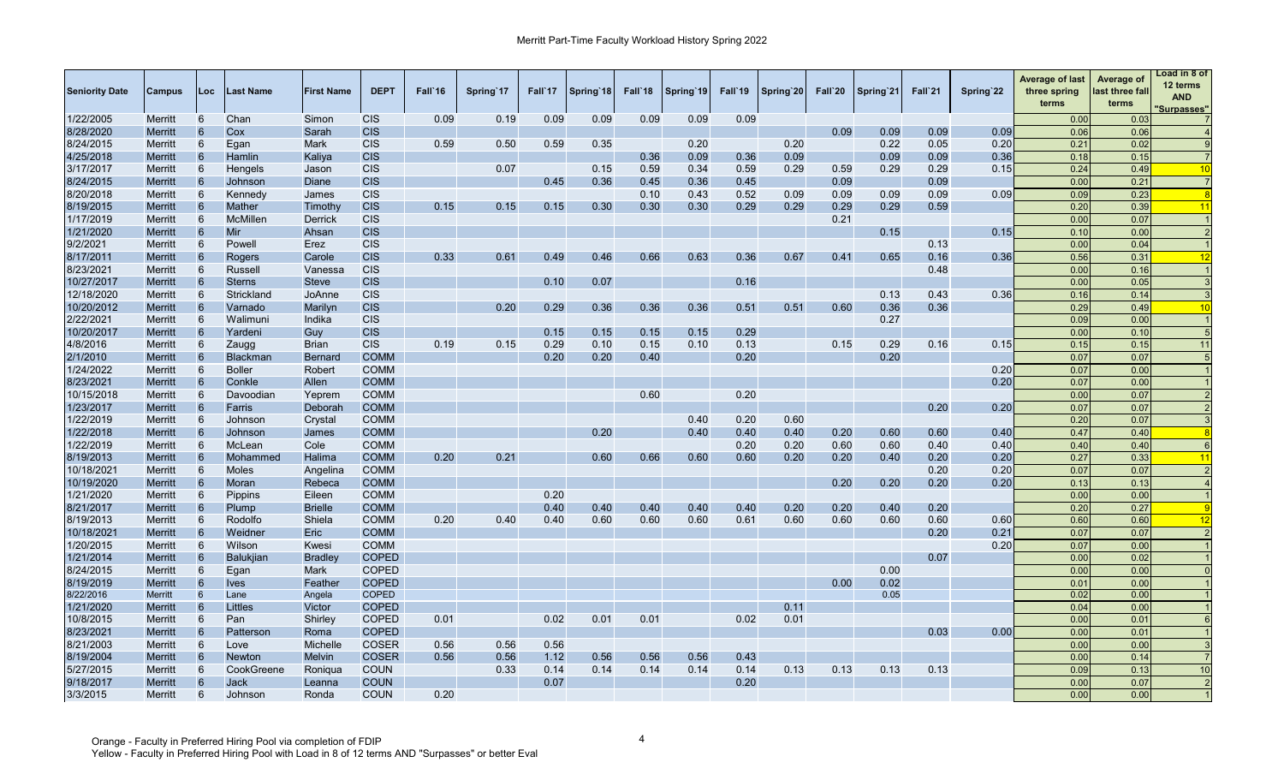| <b>Seniority Date</b> | Campus         | Loc             | Last Name        | <b>First Name</b> | <b>DEPT</b>  | Fall`16 | Spring 17 | Fall 17 | Spring 18 | Fall'18 | Spring 19 | Fall'19 | Spring 20 | Fall`20 | Spring 21 | Fall`21 | Spring 22 | <b>Average of last</b><br>three spring<br>terms | Average of<br>last three fall<br>terms | Load in 8 of<br>12 terms<br><b>AND</b><br>'Surpasses" |
|-----------------------|----------------|-----------------|------------------|-------------------|--------------|---------|-----------|---------|-----------|---------|-----------|---------|-----------|---------|-----------|---------|-----------|-------------------------------------------------|----------------------------------------|-------------------------------------------------------|
| 1/22/2005             | Merritt        | 6               | Chan             | Simon             | <b>CIS</b>   | 0.09    | 0.19      | 0.09    | 0.09      | 0.09    | 0.09      | 0.09    |           |         |           |         |           | 0.00                                            | 0.03                                   |                                                       |
| 8/28/2020             | <b>Merritt</b> | 6               | Cox              | Sarah             | <b>CIS</b>   |         |           |         |           |         |           |         |           | 0.09    | 0.09      | 0.09    | 0.09      | 0.06                                            | 0.06                                   |                                                       |
| 8/24/2015             | Merritt        | 6               | Egan             | <b>Mark</b>       | <b>CIS</b>   | 0.59    | 0.50      | 0.59    | 0.35      |         | 0.20      |         | 0.20      |         | 0.22      | 0.05    | 0.20      | 0.21                                            | 0.02                                   |                                                       |
| 4/25/2018             | <b>Merritt</b> | 6               | Hamlin           | Kaliya            | <b>CIS</b>   |         |           |         |           | 0.36    | 0.09      | 0.36    | 0.09      |         | 0.09      | 0.09    | 0.36      | 0.18                                            | 0.15                                   |                                                       |
| 3/17/2017             | Merritt        | 6               | Hengels          | Jason             | <b>CIS</b>   |         | 0.07      |         | 0.15      | 0.59    | 0.34      | 0.59    | 0.29      | 0.59    | 0.29      | 0.29    | 0.15      | 0.24                                            | 0.49                                   | 10                                                    |
| 8/24/2015             | <b>Merritt</b> | 6               | Johnson          | Diane             | <b>CIS</b>   |         |           | 0.45    | 0.36      | 0.45    | 0.36      | 0.45    |           | 0.09    |           | 0.09    |           | 0.00                                            | 0.21                                   | $\overline{7}$                                        |
| 8/20/2018             | Merritt        | 6               | Kennedy          | James             | <b>CIS</b>   |         |           |         |           | 0.10    | 0.43      | 0.52    | 0.09      | 0.09    | 0.09      | 0.09    | 0.09      | 0.09                                            | 0.23                                   | -8                                                    |
| 8/19/2015             | Merritt        | 6               | Mather           | Timothy           | <b>CIS</b>   | 0.15    | 0.15      | 0.15    | 0.30      | 0.30    | 0.30      | 0.29    | 0.29      | 0.29    | 0.29      | 0.59    |           | 0.20                                            | 0.39                                   | 11                                                    |
| 1/17/2019             | <b>Merritt</b> | 6               | McMillen         | Derrick           | <b>CIS</b>   |         |           |         |           |         |           |         |           | 0.21    |           |         |           | 0.00                                            | 0.07                                   |                                                       |
| 1/21/2020             | Merritt        | 6               | Mir              | Ahsan             | <b>CIS</b>   |         |           |         |           |         |           |         |           |         | 0.15      |         | 0.15      | 0.10                                            | 0.00                                   |                                                       |
| 9/2/2021              | Merritt        | 6               | Powell           | Erez              | <b>CIS</b>   |         |           |         |           |         |           |         |           |         |           | 0.13    |           | 0.00                                            | 0.04                                   |                                                       |
| 8/17/2011             | Merritt        | 6               | Rogers           | Carole            | <b>CIS</b>   | 0.33    | 0.61      | 0.49    | 0.46      | 0.66    | 0.63      | 0.36    | 0.67      | 0.41    | 0.65      | 0.16    | 0.36      | 0.56                                            | 0.31                                   | 12                                                    |
| 8/23/2021             | <b>Merritt</b> | 6               | Russell          | Vanessa           | <b>CIS</b>   |         |           |         |           |         |           |         |           |         |           | 0.48    |           | 0.00                                            | 0.16                                   |                                                       |
| 10/27/2017            | Merritt        | 6               | <b>Sterns</b>    | <b>Steve</b>      | <b>CIS</b>   |         |           | 0.10    | 0.07      |         |           | 0.16    |           |         |           |         |           | 0.00                                            | 0.05                                   |                                                       |
| 12/18/2020            | <b>Merritt</b> | 6               | Strickland       | JoAnne            | <b>CIS</b>   |         |           |         |           |         |           |         |           |         | 0.13      | 0.43    | 0.36      | 0.16                                            | 0.14                                   |                                                       |
| 10/20/2012            | <b>Merritt</b> | 6               | Varnado          | Marilyn           | <b>CIS</b>   |         | 0.20      | 0.29    | 0.36      | 0.36    | 0.36      | 0.51    | 0.51      | 0.60    | 0.36      | 0.36    |           | 0.29                                            | 0.49                                   | 10                                                    |
| 2/22/2021             | <b>Merritt</b> | 6               | Walimuni         | Indika            | <b>CIS</b>   |         |           |         |           |         |           |         |           |         | 0.27      |         |           | 0.09                                            | 0.00                                   |                                                       |
| 10/20/2017            | <b>Merritt</b> | 6               | Yardeni          | Guy               | <b>CIS</b>   |         |           | 0.15    | 0.15      | 0.15    | 0.15      | 0.29    |           |         |           |         |           | 0.00                                            | 0.10                                   |                                                       |
| 4/8/2016              | Merritt        | 6               | Zaugg            | <b>Brian</b>      | <b>CIS</b>   | 0.19    | 0.15      | 0.29    | 0.10      | 0.15    | 0.10      | 0.13    |           | 0.15    | 0.29      | 0.16    | 0.15      | 0.15                                            | 0.15                                   | 11                                                    |
| 2/1/2010              | <b>Merritt</b> | 6               | <b>Blackman</b>  | <b>Bernard</b>    | <b>COMM</b>  |         |           | 0.20    | 0.20      | 0.40    |           | 0.20    |           |         | 0.20      |         |           | 0.07                                            | 0.07                                   |                                                       |
| 1/24/2022             | Merritt        | 6               | <b>Boller</b>    | Robert            | <b>COMM</b>  |         |           |         |           |         |           |         |           |         |           |         | 0.20      | 0.07                                            | 0.00                                   |                                                       |
| 8/23/2021             | <b>Merritt</b> | 6               | Conkle           | Allen             | <b>COMM</b>  |         |           |         |           |         |           |         |           |         |           |         | 0.20      | 0.07                                            | 0.00                                   |                                                       |
| 10/15/2018            | <b>Merritt</b> | 6               | Davoodian        | Yeprem            | <b>COMM</b>  |         |           |         |           | 0.60    |           | 0.20    |           |         |           |         |           | 0.00                                            | 0.07                                   |                                                       |
| 1/23/2017             | Merritt        | 6               | Farris           | Deborah           | <b>COMM</b>  |         |           |         |           |         |           |         |           |         |           | 0.20    | 0.20      | 0.07                                            | 0.07                                   |                                                       |
| 1/22/2019             | <b>Merritt</b> | 6               | Johnson          | Crystal           | <b>COMM</b>  |         |           |         |           |         | 0.40      | 0.20    | 0.60      |         |           |         |           | 0.20                                            | 0.07                                   |                                                       |
| 1/22/2018             | Merritt        | 6               | Johnson          | James             | <b>COMM</b>  |         |           |         | 0.20      |         | 0.40      | 0.40    | 0.40      | 0.20    | 0.60      | 0.60    | 0.40      | 0.47                                            | 0.40                                   |                                                       |
| 1/22/2019             | <b>Merritt</b> | 6               | McLean           | Cole              | <b>COMM</b>  |         |           |         |           |         |           | 0.20    | 0.20      | 0.60    | 0.60      | 0.40    | 0.40      | 0.40                                            | 0.40                                   |                                                       |
| 8/19/2013             | Merritt        | 6               | Mohammed         | Halima            | <b>COMM</b>  | 0.20    | 0.21      |         | 0.60      | 0.66    | 0.60      | 0.60    | 0.20      | 0.20    | 0.40      | 0.20    | 0.20      | 0.27                                            | 0.33                                   | $\overline{11}$                                       |
| 10/18/2021            | <b>Merritt</b> | 6               | <b>Moles</b>     | Angelina          | <b>COMM</b>  |         |           |         |           |         |           |         |           |         |           | 0.20    | 0.20      | 0.07                                            | 0.07                                   |                                                       |
| 10/19/2020            |                | 6               | Moran            | Rebeca            | <b>COMM</b>  |         |           |         |           |         |           |         |           | 0.20    | 0.20      |         | 0.20      | 0.13                                            | 0.13                                   |                                                       |
| 1/21/2020             | Merritt        | 6               |                  | Eileen            | <b>COMM</b>  |         |           | 0.20    |           |         |           |         |           |         |           | 0.20    |           | 0.00                                            |                                        |                                                       |
|                       | <b>Merritt</b> | $6\overline{6}$ | <b>Pippins</b>   |                   |              |         |           | 0.40    |           |         |           | 0.40    | 0.20      | 0.20    |           | 0.20    |           |                                                 | 0.00                                   |                                                       |
| 8/21/2017             | Merritt        |                 | Plump            | <b>Brielle</b>    | <b>COMM</b>  |         |           |         | 0.40      | 0.40    | 0.40      |         |           |         | 0.40      |         |           | 0.20                                            | 0.27                                   |                                                       |
| 8/19/2013             | Merritt        | 6               | Rodolfo          | Shiela            | <b>COMM</b>  | 0.20    | 0.40      | 0.40    | 0.60      | 0.60    | 0.60      | 0.61    | 0.60      | 0.60    | 0.60      | 0.60    | 0.60      | 0.60                                            | 0.60                                   | 12                                                    |
| 10/18/2021            | <b>Merritt</b> | 6               | Weidner          | <b>Eric</b>       | <b>COMM</b>  |         |           |         |           |         |           |         |           |         |           | 0.20    | 0.21      | 0.07                                            | 0.07                                   |                                                       |
| 1/20/2015             | Merritt        | 6               | Wilson           | Kwesi             | <b>COMM</b>  |         |           |         |           |         |           |         |           |         |           |         | 0.20      | 0.07                                            | 0.00                                   |                                                       |
| 1/21/2014             | <b>Merritt</b> | 6               | <b>Balukjian</b> | <b>Bradley</b>    | <b>COPED</b> |         |           |         |           |         |           |         |           |         |           | 0.07    |           | 0.00                                            | 0.02                                   |                                                       |
| 8/24/2015             | Merritt        | 6               | Egan             | Mark              | <b>COPED</b> |         |           |         |           |         |           |         |           |         | 0.00      |         |           | 0.00                                            | 0.00                                   |                                                       |
| 8/19/2019             | <b>Merritt</b> | 6               | <b>Ives</b>      | Feather           | <b>COPED</b> |         |           |         |           |         |           |         |           | 0.00    | 0.02      |         |           | 0.01                                            | 0.00                                   |                                                       |
| 8/22/2016             | <b>Merritt</b> | 6               | Lane             | Angela            | <b>COPED</b> |         |           |         |           |         |           |         |           |         | 0.05      |         |           | 0.02                                            | 0.00                                   |                                                       |
| 1/21/2020             | <b>Merritt</b> | 6               | Littles          | Victor            | <b>COPED</b> |         |           |         |           |         |           |         | 0.11      |         |           |         |           | 0.04                                            | 0.00                                   |                                                       |
| 10/8/2015             | Merritt        | 6               | Pan              | Shirley           | <b>COPED</b> | 0.01    |           | 0.02    | 0.01      | 0.01    |           | 0.02    | 0.01      |         |           |         |           | 0.00                                            | 0.01                                   |                                                       |
| 8/23/2021             | Merritt        | $6\phantom{1}6$ | Patterson        | Roma              | <b>COPED</b> |         |           |         |           |         |           |         |           |         |           | 0.03    | 0.00      | 0.00                                            | 0.01                                   |                                                       |
| 8/21/2003             | <b>Merritt</b> | 6               | Love             | Michelle          | <b>COSER</b> | 0.56    | 0.56      | 0.56    |           |         |           |         |           |         |           |         |           | 0.00                                            | 0.00                                   |                                                       |
| 8/19/2004             | Merritt        | 6               | Newton           | <b>Melvin</b>     | <b>COSER</b> | 0.56    | 0.56      | 1.12    | 0.56      | 0.56    | 0.56      | 0.43    |           |         |           |         |           | 0.00                                            | 0.14                                   |                                                       |
| 5/27/2015             | Merritt        | 6               | CookGreene       | Ronigua           | <b>COUN</b>  |         | 0.33      | 0.14    | 0.14      | 0.14    | 0.14      | 0.14    | 0.13      | 0.13    | 0.13      | 0.13    |           | 0.09                                            | 0.13                                   | 10                                                    |
| 9/18/2017             | Merritt        | 6               | <b>Jack</b>      | Leanna            | <b>COUN</b>  |         |           | 0.07    |           |         |           | 0.20    |           |         |           |         |           | 0.00                                            | 0.07                                   | $\overline{2}$                                        |
| 3/3/2015              | <b>Merritt</b> | 6               | Johnson          | Ronda             | <b>COUN</b>  | 0.20    |           |         |           |         |           |         |           |         |           |         |           | 0.00                                            | 0.00                                   |                                                       |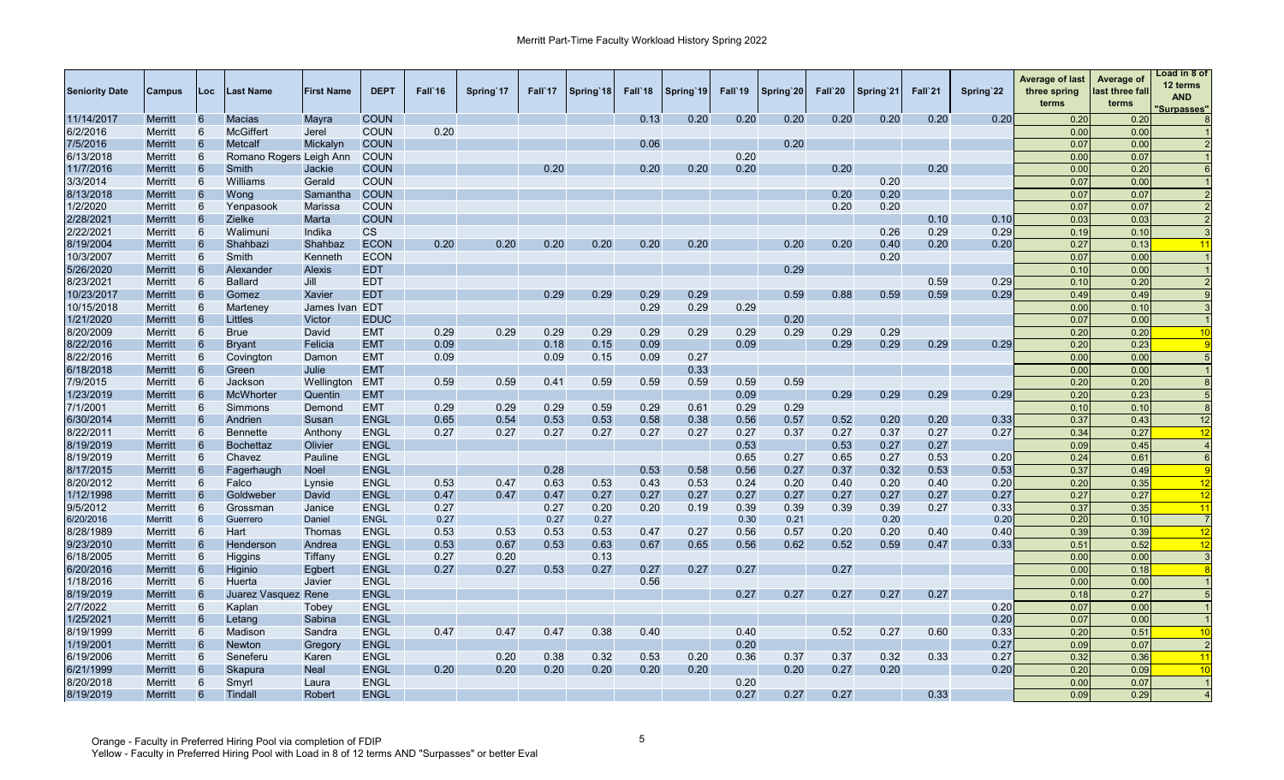| <b>Seniority Date</b> | Campus         | Loc             | Last Name               | <b>First Name</b> | <b>DEPT</b> | Fall`16 | Spring 17 | Fall 17 | Spring 18 | Fall 18 | Spring 19 | Fall'19 | Spring 20 | Fall`20 | Spring 21 | Fall`21 | Spring 22 | <b>Average of last</b><br>three spring<br>terms | Average of<br>last three fall<br>terms | Load in 8 of<br>12 terms<br><b>AND</b><br>'Surpasses" |
|-----------------------|----------------|-----------------|-------------------------|-------------------|-------------|---------|-----------|---------|-----------|---------|-----------|---------|-----------|---------|-----------|---------|-----------|-------------------------------------------------|----------------------------------------|-------------------------------------------------------|
| 11/14/2017            | Merritt        | 6               | Macias                  | Mayra             | <b>COUN</b> |         |           |         |           | 0.13    | 0.20      | 0.20    | 0.20      | 0.20    | 0.20      | 0.20    | 0.20      | 0.20                                            | 0.20                                   |                                                       |
| 6/2/2016              | Merritt        | 6               | <b>McGiffert</b>        | Jerel             | <b>COUN</b> | 0.20    |           |         |           |         |           |         |           |         |           |         |           | 0.00                                            | 0.00                                   |                                                       |
| 7/5/2016              | <b>Merritt</b> | 6               | Metcalf                 | Mickalyn          | <b>COUN</b> |         |           |         |           | 0.06    |           |         | 0.20      |         |           |         |           | 0.07                                            | 0.00                                   |                                                       |
| 6/13/2018             | Merritt        | 6               | Romano Rogers Leigh Ann |                   | <b>COUN</b> |         |           |         |           |         |           | 0.20    |           |         |           |         |           | 0.00                                            | 0.07                                   |                                                       |
| 11/7/2016             | Merritt        | 6               | Smith                   | Jackie            | <b>COUN</b> |         |           | 0.20    |           | 0.20    | 0.20      | 0.20    |           | 0.20    |           | 0.20    |           | 0.00                                            | 0.20                                   |                                                       |
| 3/3/2014              | Merritt        | 6               | Williams                | Gerald            | <b>COUN</b> |         |           |         |           |         |           |         |           |         | 0.20      |         |           | 0.07                                            | 0.00                                   |                                                       |
| 8/13/2018             | Merritt        | 6               | Wong                    | Samantha          | <b>COUN</b> |         |           |         |           |         |           |         |           | 0.20    | 0.20      |         |           | 0.07                                            | 0.07                                   |                                                       |
| 1/2/2020              | <b>Merritt</b> | 6               | Yenpasook               | Marissa           | <b>COUN</b> |         |           |         |           |         |           |         |           | 0.20    | 0.20      |         |           | 0.07                                            | 0.07                                   |                                                       |
| 2/28/2021             | <b>Merritt</b> | 6               | Zielke                  | Marta             | <b>COUN</b> |         |           |         |           |         |           |         |           |         |           | 0.10    | 0.10      | 0.03                                            | 0.03                                   |                                                       |
| 2/22/2021             | <b>Merritt</b> | 6               | Walimuni                | Indika            | <b>CS</b>   |         |           |         |           |         |           |         |           |         | 0.26      | 0.29    | 0.29      | 0.19                                            | 0.10                                   |                                                       |
| 8/19/2004             | Merritt        | 6               | Shahbazi                | Shahbaz           | <b>ECON</b> | 0.20    | 0.20      | 0.20    | 0.20      | 0.20    | 0.20      |         | 0.20      | 0.20    | 0.40      | 0.20    | 0.20      | 0.27                                            | 0.13                                   |                                                       |
| 10/3/2007             | <b>Merritt</b> | 6               | Smith                   | Kenneth           | <b>ECON</b> |         |           |         |           |         |           |         |           |         | 0.20      |         |           | 0.07                                            | 0.00                                   |                                                       |
| 5/26/2020             | Merritt        | 6               | Alexander               | <b>Alexis</b>     | <b>EDT</b>  |         |           |         |           |         |           |         | 0.29      |         |           |         |           | 0.10                                            | 0.00                                   |                                                       |
| 8/23/2021             | <b>Merritt</b> | 6               | <b>Ballard</b>          | Jill              | <b>EDT</b>  |         |           |         |           |         |           |         |           |         |           | 0.59    | 0.29      | 0.10                                            | 0.20                                   |                                                       |
| 10/23/2017            | <b>Merritt</b> | 6               | Gomez                   | Xavier            | <b>EDT</b>  |         |           | 0.29    | 0.29      | 0.29    | 0.29      |         | 0.59      | 0.88    | 0.59      | 0.59    | 0.29      | 0.49                                            | 0.49                                   |                                                       |
| 10/15/2018            | Merritt        | 6               | Marteney                | James Ivan EDT    |             |         |           |         |           | 0.29    | 0.29      | 0.29    |           |         |           |         |           | 0.00                                            | 0.10                                   |                                                       |
| 1/21/2020             | <b>Merritt</b> | 6               | Littles                 | Victor            | <b>EDUC</b> |         |           |         |           |         |           |         | 0.20      |         |           |         |           | 0.07                                            | 0.00                                   |                                                       |
| 8/20/2009             | Merritt        | 6               | <b>Brue</b>             | David             | <b>EMT</b>  | 0.29    | 0.29      | 0.29    | 0.29      | 0.29    | 0.29      | 0.29    | 0.29      | 0.29    | 0.29      |         |           | 0.20                                            | 0.20                                   | 10                                                    |
| 8/22/2016             | <b>Merritt</b> | 6               | <b>Bryant</b>           | Felicia           | <b>EMT</b>  | 0.09    |           | 0.18    | 0.15      | 0.09    |           | 0.09    |           | 0.29    | 0.29      | 0.29    | 0.29      | 0.20                                            | 0.23                                   |                                                       |
| 8/22/2016             | Merritt        | 6               |                         | Damon             | <b>EMT</b>  | 0.09    |           | 0.09    | 0.15      | 0.09    | 0.27      |         |           |         |           |         |           | 0.00                                            | 0.00                                   |                                                       |
| 6/18/2018             |                | 6               | Covington               | Julie             | <b>EMT</b>  |         |           |         |           |         | 0.33      |         |           |         |           |         |           | 0.00                                            | 0.00                                   |                                                       |
|                       | <b>Merritt</b> | 6               | Green                   |                   |             |         | 0.59      |         |           |         |           | 0.59    |           |         |           |         |           | 0.20                                            |                                        |                                                       |
| 7/9/2015<br>1/23/2019 | Merritt        | $6\phantom{1}6$ | Jackson<br>McWhorter    | Wellington        | <b>EMT</b>  | 0.59    |           | 0.41    | 0.59      | 0.59    | 0.59      |         | 0.59      | 0.29    | 0.29      |         |           | 0.20                                            | 0.20<br>0.23                           |                                                       |
|                       | Merritt        | 6               |                         | Quentin           | <b>EMT</b>  |         |           |         |           |         |           | 0.09    |           |         |           | 0.29    | 0.29      |                                                 |                                        |                                                       |
| 7/1/2001              | Merritt        |                 | Simmons                 | Demond            | <b>EMT</b>  | 0.29    | 0.29      | 0.29    | 0.59      | 0.29    | 0.61      | 0.29    | 0.29      |         |           |         |           | 0.10                                            | 0.10                                   |                                                       |
| 6/30/2014             | Merritt        | 6               | Andrien                 | Susan             | <b>ENGL</b> | 0.65    | 0.54      | 0.53    | 0.53      | 0.58    | 0.38      | 0.56    | 0.57      | 0.52    | 0.20      | 0.20    | 0.33      | 0.37                                            | 0.43                                   | 12                                                    |
| 8/22/2011             | <b>Merritt</b> | 6               | <b>Bennette</b>         | Anthony           | <b>ENGL</b> | 0.27    | 0.27      | 0.27    | 0.27      | 0.27    | 0.27      | 0.27    | 0.37      | 0.27    | 0.37      | 0.27    | 0.27      | 0.34                                            | 0.27                                   | 12                                                    |
| 8/19/2019             | <b>Merritt</b> | 6               | <b>Bochettaz</b>        | Olivier           | <b>ENGL</b> |         |           |         |           |         |           | 0.53    |           | 0.53    | 0.27      | 0.27    |           | 0.09                                            | 0.45                                   |                                                       |
| 8/19/2019             | <b>Merritt</b> | 6               | Chavez                  | Pauline           | <b>ENGL</b> |         |           |         |           |         |           | 0.65    | 0.27      | 0.65    | 0.27      | 0.53    | 0.20      | 0.24                                            | 0.61                                   | $\epsilon$                                            |
| 8/17/2015             | Merritt        | 6               | Fagerhaugh              | <b>Noel</b>       | <b>ENGL</b> |         |           | 0.28    |           | 0.53    | 0.58      | 0.56    | 0.27      | 0.37    | 0.32      | 0.53    | 0.53      | 0.37                                            | 0.49                                   |                                                       |
| 8/20/2012             | Merritt        | 6               | Falco                   | Lynsie            | <b>ENGL</b> | 0.53    | 0.47      | 0.63    | 0.53      | 0.43    | 0.53      | 0.24    | 0.20      | 0.40    | 0.20      | 0.40    | 0.20      | 0.20                                            | 0.35                                   | 12                                                    |
| 1/12/1998             | Merritt        | 6               | Goldweber               | David             | <b>ENGL</b> | 0.47    | 0.47      | 0.47    | 0.27      | 0.27    | 0.27      | 0.27    | 0.27      | 0.27    | 0.27      | 0.27    | 0.27      | 0.27                                            | 0.27                                   | 12                                                    |
| 9/5/2012              | Merritt        | 6               | Grossman                | Janice            | <b>ENGL</b> | 0.27    |           | 0.27    | 0.20      | 0.20    | 0.19      | 0.39    | 0.39      | 0.39    | 0.39      | 0.27    | 0.33      | 0.37                                            | 0.35                                   | 11                                                    |
| 6/20/2016             | <b>Merritt</b> | 6               | Guerrero                | Daniel            | <b>ENGL</b> | 0.27    |           | 0.27    | 0.27      |         |           | 0.30    | 0.21      |         | 0.20      |         | 0.20      | 0.20                                            | 0.10                                   |                                                       |
| 8/28/1989             | Merritt        | 6               | Hart                    | Thomas            | <b>ENGL</b> | 0.53    | 0.53      | 0.53    | 0.53      | 0.47    | 0.27      | 0.56    | 0.57      | 0.20    | 0.20      | 0.40    | 0.40      | 0.39                                            | 0.39                                   | 12                                                    |
| 9/23/2010             | <b>Merritt</b> | 6               | Henderson               | Andrea            | <b>ENGL</b> | 0.53    | 0.67      | 0.53    | 0.63      | 0.67    | 0.65      | 0.56    | 0.62      | 0.52    | 0.59      | 0.47    | 0.33      | 0.51                                            | 0.52                                   | 12                                                    |
| 6/18/2005             | Merritt        | 6               | Higgins                 | Tiffany           | <b>ENGL</b> | 0.27    | 0.20      |         | 0.13      |         |           |         |           |         |           |         |           | 0.00                                            | 0.00                                   |                                                       |
| 6/20/2016             | <b>Merritt</b> | 6               | Higinio                 | Egbert            | <b>ENGL</b> | 0.27    | 0.27      | 0.53    | 0.27      | 0.27    | 0.27      | 0.27    |           | 0.27    |           |         |           | 0.00                                            | 0.18                                   |                                                       |
| 1/18/2016             | <b>Merritt</b> | 6               | Huerta                  | Javier            | <b>ENGL</b> |         |           |         |           | 0.56    |           |         |           |         |           |         |           | 0.00                                            | 0.00                                   |                                                       |
| 8/19/2019             | Merritt        | 6               | Juarez Vasquez Rene     |                   | <b>ENGL</b> |         |           |         |           |         |           | 0.27    | 0.27      | 0.27    | 0.27      | 0.27    |           | 0.18                                            | 0.27                                   |                                                       |
| 2/7/2022              | <b>Merritt</b> | 6               | Kaplan                  | Tobey             | <b>ENGL</b> |         |           |         |           |         |           |         |           |         |           |         | 0.20      | 0.07                                            | 0.00                                   |                                                       |
| 1/25/2021             | Merritt        | 6               | Letang                  | Sabina            | <b>ENGL</b> |         |           |         |           |         |           |         |           |         |           |         | 0.20      | 0.07                                            | 0.00                                   |                                                       |
| 8/19/1999             | <b>Merritt</b> | 6               | Madison                 | Sandra            | <b>ENGL</b> | 0.47    | 0.47      | 0.47    | 0.38      | 0.40    |           | 0.40    |           | 0.52    | 0.27      | 0.60    | 0.33      | 0.20                                            | 0.51                                   | 10                                                    |
| 1/19/2001             | Merritt        | 6               | Newton                  | Gregory           | <b>ENGL</b> |         |           |         |           |         |           | 0.20    |           |         |           |         | 0.27      | 0.09                                            | 0.07                                   |                                                       |
| 6/19/2006             | Merritt        | 6               | Seneferu                | Karen             | <b>ENGL</b> |         | 0.20      | 0.38    | 0.32      | 0.53    | 0.20      | 0.36    | 0.37      | 0.37    | 0.32      | 0.33    | 0.27      | 0.32                                            | 0.36                                   | 11                                                    |
| 6/21/1999             | Merritt        | 6               | Skapura                 | <b>Neal</b>       | <b>ENGL</b> | 0.20    | 0.20      | 0.20    | 0.20      | 0.20    | 0.20      |         | 0.20      | 0.27    | 0.20      |         | 0.20      | 0.20                                            | 0.09                                   | 10                                                    |
| 8/20/2018             | Merritt        | 6               | Smyrl                   | Laura             | <b>ENGL</b> |         |           |         |           |         |           | 0.20    |           |         |           |         |           | 0.00                                            | 0.07                                   |                                                       |
| 8/19/2019             | <b>Merritt</b> | 6               | Tindall                 | Robert            | <b>ENGL</b> |         |           |         |           |         |           | 0.27    | 0.27      | 0.27    |           | 0.33    |           | 0.09                                            | 0.29                                   | $\overline{4}$                                        |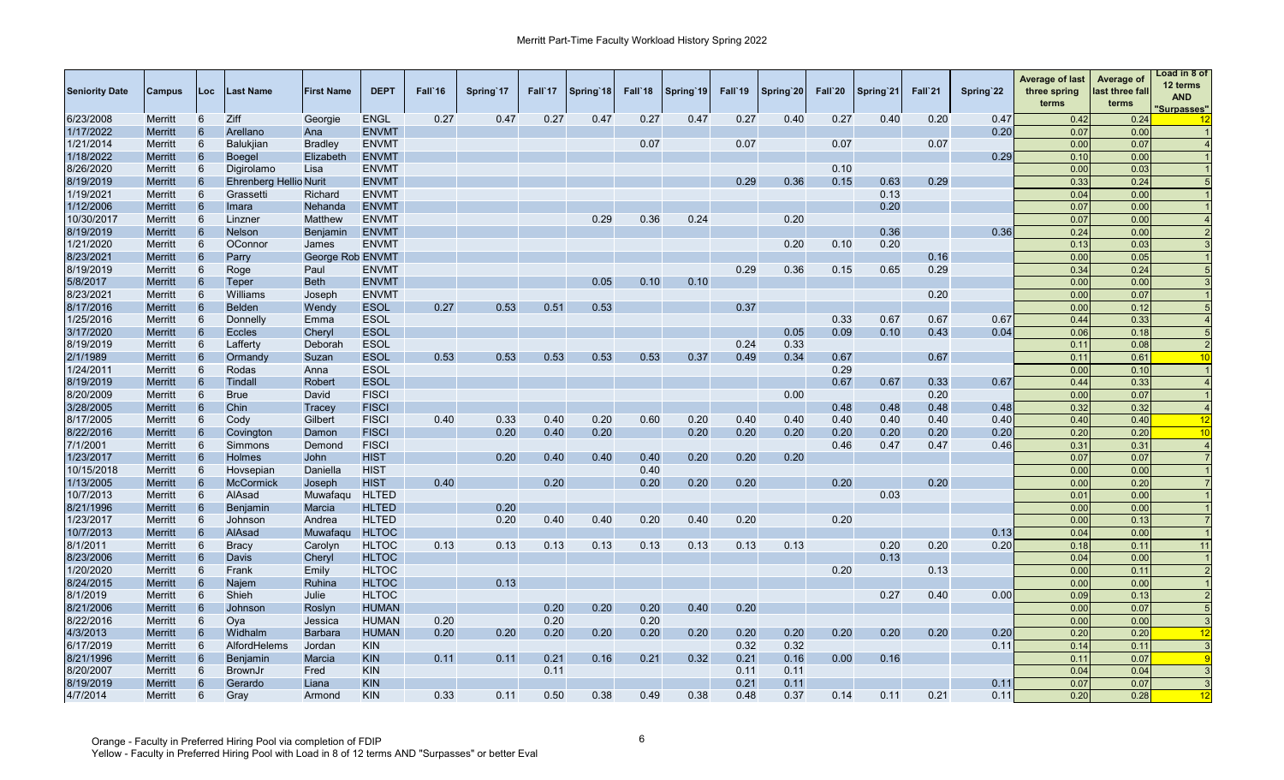| <b>Seniority Date</b> | Campus         | Loc             | Last Name                     | <b>First Name</b>       | <b>DEPT</b>  | Fall'16 | Spring 17 | Fall'17 | Spring 18 | Fall <sup>18</sup> | Spring 19 | Fall'19 | Spring 20 | Fall`20 | Spring 21 | Fall`21 | Spring'22 | <b>Average of last</b><br>three spring<br>terms | Average of<br>last three fall<br>terms | Load in 8 of<br>12 terms<br><b>AND</b><br><u>'Surpasses"</u> |
|-----------------------|----------------|-----------------|-------------------------------|-------------------------|--------------|---------|-----------|---------|-----------|--------------------|-----------|---------|-----------|---------|-----------|---------|-----------|-------------------------------------------------|----------------------------------------|--------------------------------------------------------------|
| 6/23/2008             | <b>Merritt</b> | 6               | Ziff                          | Georgie                 | <b>ENGL</b>  | 0.27    | 0.47      | 0.27    | 0.47      | 0.27               | 0.47      | 0.27    | 0.40      | 0.27    | 0.40      | 0.20    | 0.47      | 0.42                                            | 0.24                                   |                                                              |
| 1/17/2022             | <b>Merritt</b> | 6               | Arellano                      | Ana                     | <b>ENVMT</b> |         |           |         |           |                    |           |         |           |         |           |         | 0.20      | 0.07                                            | 0.00                                   |                                                              |
| 1/21/2014             | Merritt        | 6               | <b>Balukjian</b>              | <b>Bradley</b>          | <b>ENVMT</b> |         |           |         |           | 0.07               |           | 0.07    |           | 0.07    |           | 0.07    |           | 0.00                                            | 0.07                                   |                                                              |
| 1/18/2022             | Merritt        | 6               | <b>Boegel</b>                 | Elizabeth               | <b>ENVMT</b> |         |           |         |           |                    |           |         |           |         |           |         | 0.29      | 0.10                                            | 0.00                                   |                                                              |
| 8/26/2020             | <b>Merritt</b> | 6               | Digirolamo                    | Lisa                    | <b>ENVMT</b> |         |           |         |           |                    |           |         |           | 0.10    |           |         |           | 0.00                                            | 0.03                                   |                                                              |
| 8/19/2019             | <b>Merritt</b> | 6               | <b>Ehrenberg Hellio Nurit</b> |                         | <b>ENVMT</b> |         |           |         |           |                    |           | 0.29    | 0.36      | 0.15    | 0.63      | 0.29    |           | 0.33                                            | 0.24                                   |                                                              |
| 1/19/2021             | <b>Merritt</b> | 6               | Grassetti                     | Richard                 | <b>ENVMT</b> |         |           |         |           |                    |           |         |           |         | 0.13      |         |           | 0.04                                            | 0.00                                   |                                                              |
| 1/12/2006             | <b>Merritt</b> | 6               | Imara                         | Nehanda                 | <b>ENVMT</b> |         |           |         |           |                    |           |         |           |         | 0.20      |         |           | 0.07                                            | 0.00                                   |                                                              |
| 10/30/2017            | Merritt        | 6               | Linzner                       | Matthew                 | <b>ENVMT</b> |         |           |         | 0.29      | 0.36               | 0.24      |         | 0.20      |         |           |         |           | 0.07                                            | 0.00                                   |                                                              |
| 8/19/2019             | <b>Merritt</b> | 6               | <b>Nelson</b>                 | <b>Benjamin</b>         | <b>ENVMT</b> |         |           |         |           |                    |           |         |           |         | 0.36      |         | 0.36      | 0.24                                            | 0.00                                   |                                                              |
| 1/21/2020             | <b>Merritt</b> | 6               | OConnor                       | James                   | <b>ENVMT</b> |         |           |         |           |                    |           |         | 0.20      | 0.10    | 0.20      |         |           | 0.13                                            | 0.03                                   |                                                              |
| 8/23/2021             | <b>Merritt</b> | 6               | Parry                         | <b>George Rob ENVMT</b> |              |         |           |         |           |                    |           |         |           |         |           | 0.16    |           | 0.00                                            | 0.05                                   |                                                              |
| 8/19/2019             | <b>Merritt</b> | 6               | Roge                          | Paul                    | <b>ENVMT</b> |         |           |         |           |                    |           | 0.29    | 0.36      | 0.15    | 0.65      | 0.29    |           | 0.34                                            | 0.24                                   |                                                              |
| 5/8/2017              | Merritt        | 6               | Teper                         | <b>Beth</b>             | <b>ENVMT</b> |         |           |         | 0.05      | 0.10               | 0.10      |         |           |         |           |         |           | 0.00                                            | 0.00                                   |                                                              |
| 8/23/2021             | <b>Merritt</b> | 6               | Williams                      | Joseph                  | <b>ENVMT</b> |         |           |         |           |                    |           |         |           |         |           | 0.20    |           | 0.00                                            | 0.07                                   |                                                              |
| 8/17/2016             | <b>Merritt</b> | 6               | <b>Belden</b>                 | Wendy                   | <b>ESOL</b>  | 0.27    | 0.53      | 0.51    | 0.53      |                    |           | 0.37    |           |         |           |         |           | 0.00                                            | 0.12                                   |                                                              |
| 1/25/2016             | Merritt        | 6               | Donnelly                      | Emma                    | <b>ESOL</b>  |         |           |         |           |                    |           |         |           | 0.33    | 0.67      | 0.67    | 0.67      | 0.44                                            | 0.33                                   |                                                              |
| 3/17/2020             | <b>Merritt</b> | 6               | <b>Eccles</b>                 | Cheryl                  | <b>ESOL</b>  |         |           |         |           |                    |           |         | 0.05      | 0.09    | 0.10      | 0.43    | 0.04      | 0.06                                            | 0.18                                   |                                                              |
| 8/19/2019             | Merritt        | 6               | Lafferty                      | Deborah                 | <b>ESOL</b>  |         |           |         |           |                    |           | 0.24    | 0.33      |         |           |         |           | 0.11                                            | 0.08                                   |                                                              |
| 2/1/1989              | Merritt        | 6               | Ormandy                       | Suzan                   | <b>ESOL</b>  | 0.53    | 0.53      | 0.53    | 0.53      | 0.53               | 0.37      | 0.49    | 0.34      | 0.67    |           | 0.67    |           | 0.11                                            | 0.61                                   | 10                                                           |
| 1/24/2011             | <b>Merritt</b> | 6               | Rodas                         | Anna                    | <b>ESOL</b>  |         |           |         |           |                    |           |         |           | 0.29    |           |         |           | 0.00                                            | 0.10                                   |                                                              |
| 8/19/2019             | <b>Merritt</b> | 6               | Tindal                        | Robert                  | <b>ESOL</b>  |         |           |         |           |                    |           |         |           | 0.67    | 0.67      | 0.33    | 0.67      | 0.44                                            | 0.33                                   |                                                              |
| 8/20/2009             | <b>Merritt</b> | 6               | <b>Brue</b>                   | David                   | <b>FISCI</b> |         |           |         |           |                    |           |         | 0.00      |         |           | 0.20    |           | 0.00                                            | 0.07                                   |                                                              |
| 3/28/2005             | <b>Merritt</b> | 6               | Chin                          | Tracey                  | <b>FISCI</b> |         |           |         |           |                    |           |         |           | 0.48    | 0.48      | 0.48    | 0.48      | 0.32                                            | 0.32                                   |                                                              |
| 8/17/2005             | Merritt        | 6               | Cody                          | Gilbert                 | <b>FISCI</b> | 0.40    | 0.33      | 0.40    | 0.20      | 0.60               | 0.20      | 0.40    | 0.40      | 0.40    | 0.40      | 0.40    | 0.40      | 0.40                                            | 0.40                                   | 12                                                           |
| 8/22/2016             | <b>Merritt</b> | 6               | Covington                     | Damon                   | <b>FISCI</b> |         | 0.20      | 0.40    | 0.20      |                    | 0.20      | 0.20    | 0.20      | 0.20    | 0.20      | 0.20    | 0.20      | 0.20                                            | 0.20                                   | 10                                                           |
| 7/1/2001              | Merritt        | 6               | Simmons                       | Demond                  | <b>FISCI</b> |         |           |         |           |                    |           |         |           | 0.46    | 0.47      | 0.47    | 0.46      | 0.31                                            | 0.31                                   |                                                              |
| 1/23/2017             | <b>Merritt</b> | 6               | Holmes                        | John                    | <b>HIST</b>  |         | 0.20      | 0.40    | 0.40      | 0.40               | 0.20      | 0.20    | 0.20      |         |           |         |           | 0.07                                            | 0.07                                   |                                                              |
| 10/15/2018            | <b>Merritt</b> | 6               | Hovsepian                     | Daniella                | <b>HIST</b>  |         |           |         |           | 0.40               |           |         |           |         |           |         |           | 0.00                                            | 0.00                                   |                                                              |
| 1/13/2005             | <b>Merritt</b> | 6               | <b>McCormick</b>              | Joseph                  | <b>HIST</b>  | 0.40    |           | 0.20    |           | 0.20               | 0.20      | 0.20    |           | 0.20    |           | 0.20    |           | 0.00                                            | 0.20                                   |                                                              |
| 10/7/2013             | <b>Merritt</b> | 6               | AlAsad                        | Muwafaqu                | <b>HLTED</b> |         |           |         |           |                    |           |         |           |         | 0.03      |         |           | 0.01                                            | 0.00                                   |                                                              |
| 8/21/1996             | <b>Merritt</b> | 6               | Benjamin                      | Marcia                  | <b>HLTED</b> |         | 0.20      |         |           |                    |           |         |           |         |           |         |           | 0.00                                            | 0.00                                   |                                                              |
| 1/23/2017             | Merritt        | 6               | Johnson                       | Andrea                  | <b>HLTED</b> |         | 0.20      | 0.40    | 0.40      | 0.20               | 0.40      | 0.20    |           | 0.20    |           |         |           | 0.00                                            | 0.13                                   |                                                              |
| 10/7/2013             | <b>Merritt</b> | 6               | AlAsad                        | Muwafaqu                | <b>HLTOC</b> |         |           |         |           |                    |           |         |           |         |           |         | 0.13      | 0.04                                            | 0.00                                   |                                                              |
| 8/1/2011              | Merritt        | 6               | <b>Bracy</b>                  | Carolyn                 | <b>HLTOC</b> | 0.13    | 0.13      | 0.13    | 0.13      | 0.13               | 0.13      | 0.13    | 0.13      |         | 0.20      | 0.20    | 0.20      | 0.18                                            | 0.11                                   | 11                                                           |
| 8/23/2006             | <b>Merritt</b> | 6               | Davis                         | Cheryl                  | <b>HLTOC</b> |         |           |         |           |                    |           |         |           |         | 0.13      |         |           | 0.04                                            | 0.00                                   |                                                              |
| 1/20/2020             | <b>Merritt</b> | 6               | Frank                         | Emily                   | <b>HLTOC</b> |         |           |         |           |                    |           |         |           | 0.20    |           | 0.13    |           | 0.00                                            | 0.11                                   |                                                              |
| 8/24/2015             | <b>Merritt</b> | 6               | Najem                         | Ruhina                  | <b>HLTOC</b> |         | 0.13      |         |           |                    |           |         |           |         |           |         |           | 0.00                                            | 0.00                                   |                                                              |
| 8/1/2019              | Merritt        | 6               | Shieh                         | Julie                   | <b>HLTOC</b> |         |           |         |           |                    |           |         |           |         | 0.27      | 0.40    | 0.00      | 0.09                                            | 0.13                                   |                                                              |
| 8/21/2006             | <b>Merritt</b> | 6               | Johnson                       | Roslyn                  | <b>HUMAN</b> |         |           | 0.20    | 0.20      | 0.20               | 0.40      | 0.20    |           |         |           |         |           | 0.00                                            | 0.07                                   |                                                              |
| 8/22/2016             | Merritt        | 6               | Oya                           | Jessica                 | <b>HUMAN</b> | 0.20    |           | 0.20    |           | 0.20               |           |         |           |         |           |         |           | 0.00                                            | 0.00                                   |                                                              |
| 4/3/2013              | <b>Merritt</b> | 6               | Widhalm                       | <b>Barbara</b>          | <b>HUMAN</b> | 0.20    | 0.20      | 0.20    | 0.20      | 0.20               | 0.20      | 0.20    | 0.20      | 0.20    | 0.20      | 0.20    | 0.20      | 0.20                                            | 0.20                                   | 12                                                           |
| 6/17/2019             | Merritt        | 6               | AlfordHelems                  | Jordan                  | <b>KIN</b>   |         |           |         |           |                    |           | 0.32    | 0.32      |         |           |         | 0.11      | 0.14                                            | 0.11                                   |                                                              |
| 8/21/1996             | Merritt        | $6\phantom{1}6$ | Benjamin                      | Marcia                  | <b>KIN</b>   | 0.11    | 0.11      | 0.21    | 0.16      | 0.21               | 0.32      | 0.21    | 0.16      | 0.00    | 0.16      |         |           | 0.11                                            | 0.07                                   |                                                              |
| 8/20/2007             | Merritt        | 6               | BrownJr                       | Fred                    | <b>KIN</b>   |         |           | 0.11    |           |                    |           | 0.11    | 0.11      |         |           |         |           | 0.04                                            | 0.04                                   |                                                              |
| 8/19/2019             | Merritt        | 6               | Gerardo                       | Liana                   | <b>KIN</b>   |         |           |         |           |                    |           | 0.21    | 0.11      |         |           |         | 0.11      | 0.07                                            | 0.07                                   |                                                              |
| 4/7/2014              | Merritt        | 6               | Gray                          | Armond                  | <b>KIN</b>   | 0.33    | 0.11      | 0.50    | 0.38      | 0.49               | 0.38      | 0.48    | 0.37      | 0.14    | 0.11      | 0.21    | 0.11      | 0.20                                            | 0.28                                   | 12                                                           |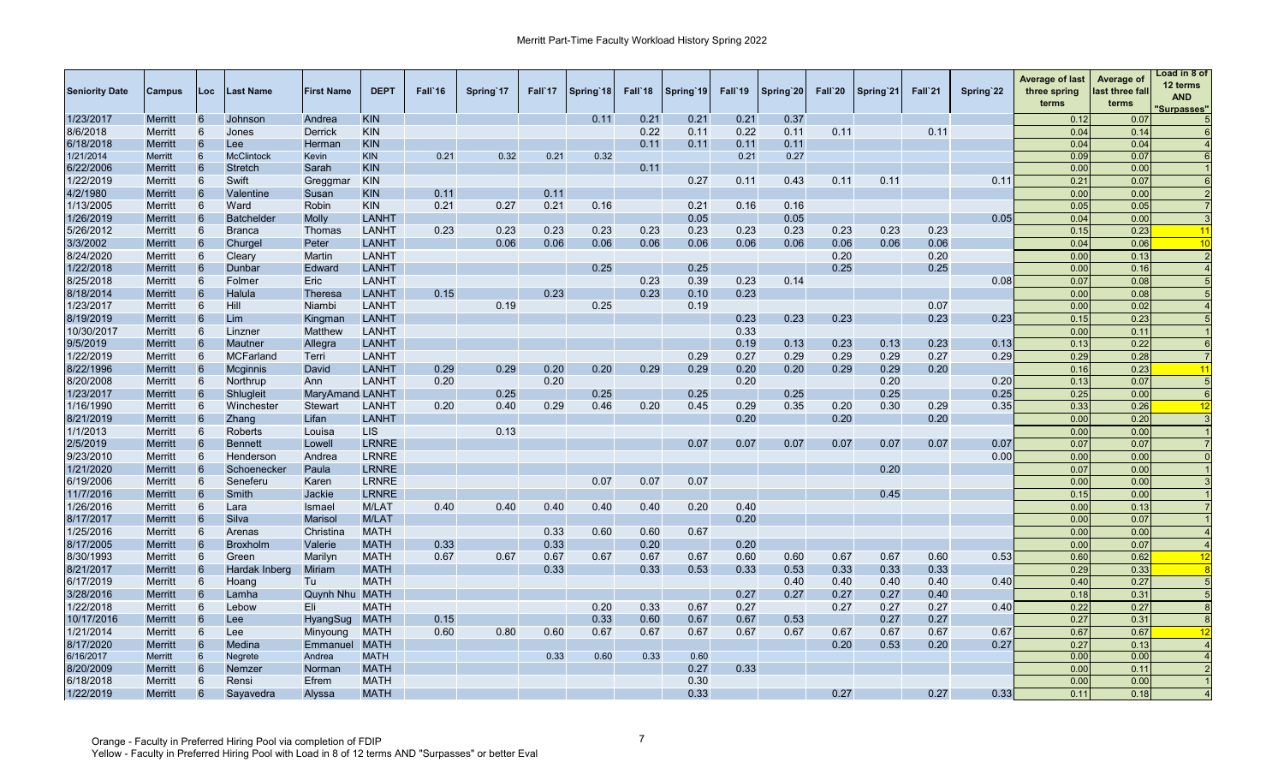| <b>Seniority Date</b> | <b>Campus</b>  | Loc             | <b>Last Name</b>  | <b>First Name</b>     | <b>DEPT</b>  | Fall 16 | Spring 17 | Fall 17 | Spring 18 | Fall 18 | Spring 19 | Fall 19 | Spring 20 | Fall`20 | Spring 21 | Fall 21 | Spring 22 | <b>Average of last</b><br>three spring<br>terms | Average of<br>last three fall<br>terms | Load in 8 of<br>12 terms<br><b>AND</b><br><b>Surpasses"</b> |
|-----------------------|----------------|-----------------|-------------------|-----------------------|--------------|---------|-----------|---------|-----------|---------|-----------|---------|-----------|---------|-----------|---------|-----------|-------------------------------------------------|----------------------------------------|-------------------------------------------------------------|
| 1/23/2017             | <b>Merritt</b> | 6               | Johnson           | Andrea                | <b>KIN</b>   |         |           |         | 0.11      | 0.21    | 0.21      | 0.21    | 0.37      |         |           |         |           | 0.12                                            | 0.07                                   |                                                             |
| 8/6/2018              | Merritt        | 6               | Jones             | <b>Derrick</b>        | <b>KIN</b>   |         |           |         |           | 0.22    | 0.11      | 0.22    | 0.11      | 0.11    |           | 0.11    |           | 0.04                                            | 0.14                                   |                                                             |
| 6/18/2018             | <b>Merritt</b> | 6               | Lee:              | Herman                | <b>KIN</b>   |         |           |         |           | 0.11    | 0.11      | 0.11    | 0.11      |         |           |         |           | 0.04                                            | 0.04                                   |                                                             |
| 1/21/2014             | Merritt        | 6               | <b>McClintock</b> | Kevin                 | <b>KIN</b>   | 0.21    | 0.32      | 0.21    | 0.32      |         |           | 0.21    | 0.27      |         |           |         |           | 0.09                                            | 0.07                                   |                                                             |
| 6/22/2006             | <b>Merritt</b> | 6               | <b>Stretch</b>    | Sarah                 | <b>KIN</b>   |         |           |         |           | 0.11    |           |         |           |         |           |         |           | 0.00                                            | 0.00                                   |                                                             |
| 1/22/2019             | Merritt        | 6               | Swift             | Greggmar              | <b>KIN</b>   |         |           |         |           |         | 0.27      | 0.11    | 0.43      | 0.11    | 0.11      |         | 0.11      | 0.21                                            | 0.07                                   |                                                             |
| 4/2/1980              | <b>Merritt</b> | 6               | Valentine         | Susan                 | <b>KIN</b>   | 0.11    |           | 0.11    |           |         |           |         |           |         |           |         |           | 0.00                                            | 0.00                                   |                                                             |
| 1/13/2005             | Merritt        | 6               | Ward              | Robin                 | <b>KIN</b>   | 0.21    | 0.27      | 0.21    | 0.16      |         | 0.21      | 0.16    | 0.16      |         |           |         |           | 0.05                                            | 0.05                                   |                                                             |
| 1/26/2019             | <b>Merritt</b> | 6               | <b>Batchelder</b> | <b>Molly</b>          | LANHT        |         |           |         |           |         | 0.05      |         | 0.05      |         |           |         | 0.05      | 0.04                                            | 0.00                                   |                                                             |
| 5/26/2012             | Merritt        | 6               | <b>Branca</b>     | Thomas                | LANHT        | 0.23    | 0.23      | 0.23    | 0.23      | 0.23    | 0.23      | 0.23    | 0.23      | 0.23    | 0.23      | 0.23    |           | 0.15                                            | 0.23                                   | 11                                                          |
| 3/3/2002              | <b>Merritt</b> | 6               | Churgel           | Peter                 | <b>LANHT</b> |         | 0.06      | 0.06    | 0.06      | 0.06    | 0.06      | 0.06    | 0.06      | 0.06    | 0.06      | 0.06    |           | 0.04                                            | 0.06                                   | 10                                                          |
| 8/24/2020             | Merritt        | 6               | Cleary            | Martin                | LANHT        |         |           |         |           |         |           |         |           | 0.20    |           | 0.20    |           | 0.00                                            | 0.13                                   |                                                             |
| 1/22/2018             | <b>Merritt</b> | 6               | Dunbar            | Edward                | <b>LANHT</b> |         |           |         | 0.25      |         | 0.25      |         |           | 0.25    |           | 0.25    |           | 0.00                                            | 0.16                                   |                                                             |
| 8/25/2018             | Merritt        | 6               | Folmer            | Eric                  | LANHT        |         |           |         |           | 0.23    | 0.39      | 0.23    | 0.14      |         |           |         | 0.08      | 0.07                                            | 0.08                                   |                                                             |
| 8/18/2014             | <b>Merritt</b> | 6               | Halula            | <b>Theresa</b>        | LANHT        | 0.15    |           | 0.23    |           | 0.23    | 0.10      | 0.23    |           |         |           |         |           | 0.00                                            | 0.08                                   |                                                             |
| 1/23/2017             | <b>Merritt</b> | 6               | Hill              | Niambi                | LANHT        |         | 0.19      |         | 0.25      |         | 0.19      |         |           |         |           | 0.07    |           | 0.00                                            | 0.02                                   |                                                             |
| 8/19/2019             | <b>Merritt</b> | 6               | Lim               | Kingman               | LANHT        |         |           |         |           |         |           | 0.23    | 0.23      | 0.23    |           | 0.23    | 0.23      | 0.15                                            | 0.23                                   |                                                             |
| 10/30/2017            | <b>Merritt</b> | 6               | Linzner           | Matthew               | LANHT        |         |           |         |           |         |           | 0.33    |           |         |           |         |           | 0.00                                            | 0.11                                   |                                                             |
| 9/5/2019              | <b>Merritt</b> | 6               | Mautner           | Allegra               | LANHT        |         |           |         |           |         |           | 0.19    | 0.13      | 0.23    | 0.13      | 0.23    | 0.13      | 0.13                                            | 0.22                                   |                                                             |
| 1/22/2019             | Merritt        | 6               | <b>MCFarland</b>  | Terri                 | LANHT        |         |           |         |           |         | 0.29      | 0.27    | 0.29      | 0.29    | 0.29      | 0.27    | 0.29      | 0.29                                            | 0.28                                   |                                                             |
| 8/22/1996             | <b>Merritt</b> | 6               | Mcginnis          | David                 | LANHT        | 0.29    | 0.29      | 0.20    | 0.20      | 0.29    | 0.29      | 0.20    | 0.20      | 0.29    | 0.29      | 0.20    |           | 0.16                                            | 0.23                                   | $\overline{11}$                                             |
| 8/20/2008             | Merritt        | 6               | Northrup          | Ann                   | LANHT        | 0.20    |           | 0.20    |           |         |           | 0.20    |           |         | 0.20      |         | 0.20      | 0.13                                            | 0.07                                   |                                                             |
| 1/23/2017             | <b>Merritt</b> | 6               | Shlugleit         | MaryAmand LANHT       |              |         | 0.25      |         | 0.25      |         | 0.25      |         | 0.25      |         | 0.25      |         | 0.25      | 0.25                                            | 0.00                                   | $\epsilon$                                                  |
| 1/16/1990             | Merritt        | 6               | Winchester        | <b>Stewart</b>        | <b>LANHT</b> | 0.20    | 0.40      | 0.29    | 0.46      | 0.20    | 0.45      | 0.29    | 0.35      | 0.20    | 0.30      | 0.29    | 0.35      | 0.33                                            | 0.26                                   | 12                                                          |
| 8/21/2019             | <b>Merritt</b> | $6\phantom{1}6$ | Zhang             | Lifan                 | <b>LANHT</b> |         |           |         |           |         |           | 0.20    |           | 0.20    |           | 0.20    |           | 0.00                                            | 0.20                                   |                                                             |
| 1/1/2013              | Merritt        | 6               | Roberts           | Louisa                | <b>LIS</b>   |         | 0.13      |         |           |         |           |         |           |         |           |         |           | 0.00                                            | 0.00                                   |                                                             |
| 2/5/2019              | <b>Merritt</b> | $6\phantom{1}6$ | <b>Bennett</b>    | Lowell                | <b>LRNRE</b> |         |           |         |           |         | 0.07      | 0.07    | 0.07      | 0.07    | 0.07      | 0.07    | 0.07      | 0.07                                            | 0.07                                   |                                                             |
| 9/23/2010             | Merritt        | 6               | Henderson         | Andrea                | <b>LRNRE</b> |         |           |         |           |         |           |         |           |         |           |         | 0.00      | 0.00                                            | 0.00                                   |                                                             |
| 1/21/2020             | <b>Merritt</b> | 6               | Schoenecker       | Paula                 | <b>LRNRE</b> |         |           |         |           |         |           |         |           |         | 0.20      |         |           | 0.07                                            | 0.00                                   |                                                             |
| 6/19/2006             | Merritt        | 6               | Seneferu          | Karen                 | <b>LRNRE</b> |         |           |         | 0.07      | 0.07    | 0.07      |         |           |         |           |         |           | 0.00                                            | 0.00                                   |                                                             |
| 11/7/2016             | <b>Merritt</b> | $6\phantom{1}6$ | Smith             | Jackie                | <b>LRNRE</b> |         |           |         |           |         |           |         |           |         | 0.45      |         |           | 0.15                                            | 0.00                                   |                                                             |
| 1/26/2016             | Merritt        | 6               | Lara              | <b>Ismael</b>         | M/LAT        | 0.40    | 0.40      | 0.40    | 0.40      | 0.40    | 0.20      | 0.40    |           |         |           |         |           | 0.00                                            | 0.13                                   |                                                             |
| 8/17/2017             | <b>Merritt</b> | $6\phantom{1}6$ | Silva             | <b>Marisol</b>        | <b>M/LAT</b> |         |           |         |           |         |           | 0.20    |           |         |           |         |           | 0.00                                            | 0.07                                   |                                                             |
| 1/25/2016             | Merritt        | 6               | Arenas            | Christina             | <b>MATH</b>  |         |           | 0.33    | 0.60      | 0.60    | 0.67      |         |           |         |           |         |           | 0.00                                            | 0.00                                   |                                                             |
| 8/17/2005             | <b>Merritt</b> | 6               | <b>Broxholm</b>   | Valerie               | <b>MATH</b>  | 0.33    |           | 0.33    |           | 0.20    |           | 0.20    |           |         |           |         |           | 0.00                                            | 0.07                                   |                                                             |
| 8/30/1993             | Merritt        | 6               | Green             | Marilyn               | <b>MATH</b>  | 0.67    | 0.67      | 0.67    | 0.67      | 0.67    | 0.67      | 0.60    | 0.60      | 0.67    | 0.67      | 0.60    | 0.53      | 0.60                                            | 0.62                                   | 12                                                          |
| 8/21/2017             | <b>Merritt</b> | 6               | Hardak Inberg     | Miriam                | <b>MATH</b>  |         |           | 0.33    |           | 0.33    | 0.53      | 0.33    | 0.53      | 0.33    | 0.33      | 0.33    |           | 0.29                                            | 0.33                                   |                                                             |
| 6/17/2019             | Merritt        | 6               | Hoang             | Tu                    | <b>MATH</b>  |         |           |         |           |         |           |         | 0.40      | 0.40    | 0.40      | 0.40    | 0.40      | 0.40                                            | 0.27                                   |                                                             |
| 3/28/2016             | <b>Merritt</b> | 6               | Lamha             | <b>Quynh Nhu MATH</b> |              |         |           |         |           |         |           | 0.27    | 0.27      | 0.27    | 0.27      | 0.40    |           | 0.18                                            | 0.31                                   |                                                             |
| 1/22/2018             | Merritt        | 6               | Lebow             | Eli                   | <b>MATH</b>  |         |           |         | 0.20      | 0.33    | 0.67      | 0.27    |           | 0.27    | 0.27      | 0.27    | 0.40      | 0.22                                            | 0.27                                   |                                                             |
| 10/17/2016            | <b>Merritt</b> | 6               | Lee:              | HyangSug              | <b>MATH</b>  | 0.15    |           |         | 0.33      | 0.60    | 0.67      | 0.67    | 0.53      |         | 0.27      | 0.27    |           | 0.27                                            | 0.31                                   |                                                             |
| 1/21/2014             | Merritt        | 6               | Lee               | Minyoung              | <b>MATH</b>  | 0.60    | 0.80      | 0.60    | 0.67      | 0.67    | 0.67      | 0.67    | 0.67      | 0.67    | 0.67      | 0.67    | 0.67      | 0.67                                            | 0.67                                   | 12                                                          |
| 8/17/2020             | <b>Merritt</b> | 6               | Medina            | Emmanuel              | <b>MATH</b>  |         |           |         |           |         |           |         |           | 0.20    | 0.53      | 0.20    | 0.27      | 0.27                                            | 0.13                                   |                                                             |
| 6/16/2017             | <b>Merritt</b> | 6               | Negrete           | Andrea                | <b>MATH</b>  |         |           | 0.33    | 0.60      | 0.33    | 0.60      |         |           |         |           |         |           | 0.00                                            | 0.00                                   |                                                             |
| 8/20/2009             | Merritt        |                 | Nemzer            | Normar                | <b>MATH</b>  |         |           |         |           |         | 0.27      | 0.33    |           |         |           |         |           | 0.00                                            | 0.11                                   |                                                             |
| 6/18/2018             | Merritt        | 6               | Rensi             | Efrem                 | <b>MATH</b>  |         |           |         |           |         | 0.30      |         |           |         |           |         |           | 0.00                                            | 0.00                                   |                                                             |
| 1/22/2019             | <b>Merritt</b> | 6               | Savavedra         | Alvssa                | <b>MATH</b>  |         |           |         |           |         | 0.33      |         |           | 0.27    |           | 0.27    | 0.33      | 0.11                                            | 0.18                                   |                                                             |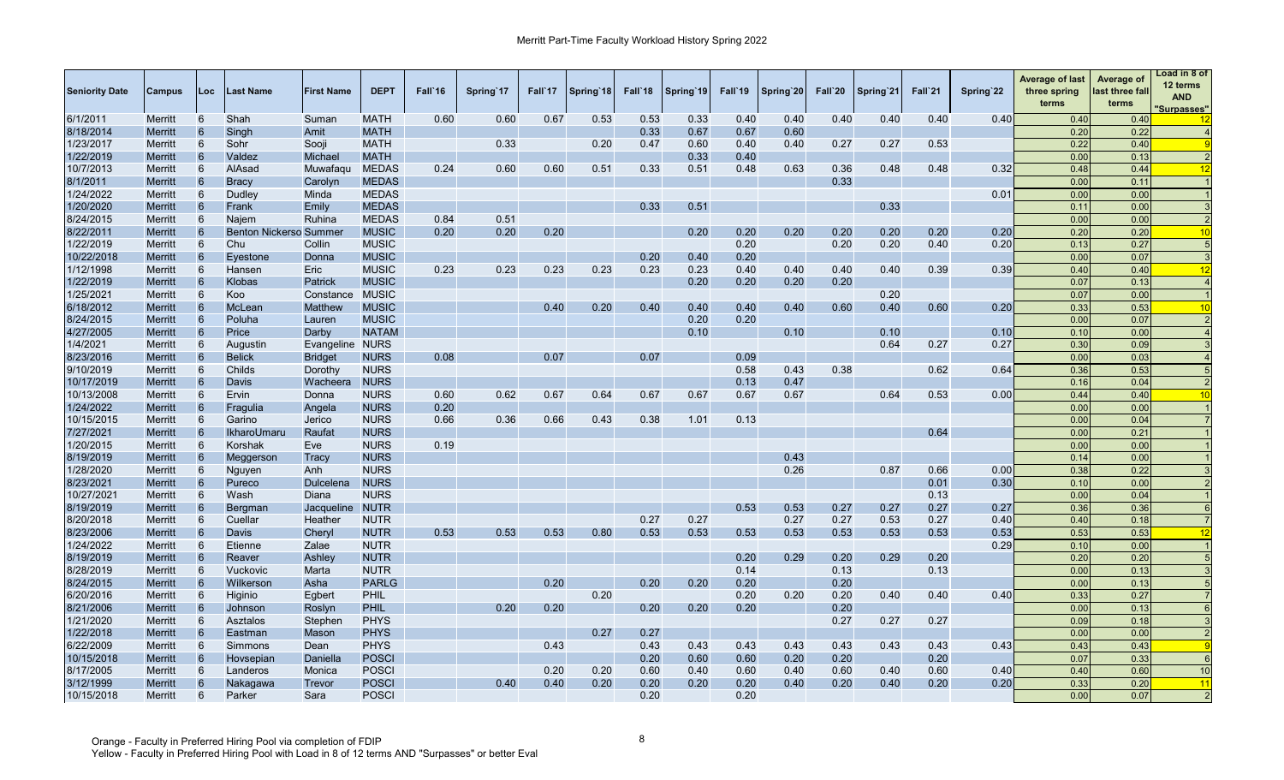| <b>Seniority Date</b> | Campus         | Loc             | Last Name                     | <b>First Name</b> | <b>DEPT</b>  | Fall`16 | Spring 17 | Fall`17 | Spring 18 | Fall`18 | Spring 19 | Fall'19 | Spring 20 | Fall`20 | Spring'21 | Fall`21 | Spring 22 | <b>Average of last</b><br>three spring<br>terms | Average of<br>last three fall<br>terms | Load in 8 of<br>12 terms<br><b>AND</b><br><u>'Surpasses"</u> |
|-----------------------|----------------|-----------------|-------------------------------|-------------------|--------------|---------|-----------|---------|-----------|---------|-----------|---------|-----------|---------|-----------|---------|-----------|-------------------------------------------------|----------------------------------------|--------------------------------------------------------------|
| 6/1/2011              | Merritt        | 6               | Shah                          | Suman             | <b>MATH</b>  | 0.60    | 0.60      | 0.67    | 0.53      | 0.53    | 0.33      | 0.40    | 0.40      | 0.40    | 0.40      | 0.40    | 0.40      | 0.40                                            | 0.40                                   |                                                              |
| 8/18/2014             | Merritt        | 6               | Singh                         | Amit              | <b>MATH</b>  |         |           |         |           | 0.33    | 0.67      | 0.67    | 0.60      |         |           |         |           | 0.20                                            | 0.22                                   |                                                              |
| 1/23/2017             | Merritt        | 6               | Sohr                          | Sooji             | <b>MATH</b>  |         | 0.33      |         | 0.20      | 0.47    | 0.60      | 0.40    | 0.40      | 0.27    | 0.27      | 0.53    |           | 0.22                                            | 0.40                                   |                                                              |
| 1/22/2019             | Merritt        | 6               | Valdez                        | Michael           | <b>MATH</b>  |         |           |         |           |         | 0.33      | 0.40    |           |         |           |         |           | 0.00                                            | 0.13                                   | $\overline{2}$                                               |
| 10/7/2013             | Merritt        | 6               | AlAsad                        | Muwafaqu          | <b>MEDAS</b> | 0.24    | 0.60      | 0.60    | 0.51      | 0.33    | 0.51      | 0.48    | 0.63      | 0.36    | 0.48      | 0.48    | 0.32      | 0.48                                            | 0.44                                   | 12                                                           |
| 8/1/2011              | Merritt        | 6               | <b>Bracy</b>                  | Carolyn           | <b>MEDAS</b> |         |           |         |           |         |           |         |           | 0.33    |           |         |           | 0.00                                            | 0.11                                   |                                                              |
| 1/24/2022             | Merritt        | 6               | Dudley                        | Minda             | <b>MEDAS</b> |         |           |         |           |         |           |         |           |         |           |         | 0.01      | 0.00                                            | 0.00                                   |                                                              |
| 1/20/2020             | Merritt        | 6               | Frank                         | Emily             | <b>MEDAS</b> |         |           |         |           | 0.33    | 0.51      |         |           |         | 0.33      |         |           | 0.11                                            | 0.00                                   |                                                              |
| 8/24/2015             | Merritt        | 6               | Najem                         | <b>Ruhina</b>     | <b>MEDAS</b> | 0.84    | 0.51      |         |           |         |           |         |           |         |           |         |           | 0.00                                            | 0.00                                   |                                                              |
| 8/22/2011             | Merritt        | 6               | <b>Benton Nickerso Summer</b> |                   | <b>MUSIC</b> | 0.20    | 0.20      | 0.20    |           |         | 0.20      | 0.20    | 0.20      | 0.20    | 0.20      | 0.20    | 0.20      | 0.20                                            | 0.20                                   | $\overline{10}$                                              |
| 1/22/2019             | <b>Merritt</b> | 6               | Chu                           | Collin            | <b>MUSIC</b> |         |           |         |           |         |           | 0.20    |           | 0.20    | 0.20      | 0.40    | 0.20      | 0.13                                            | 0.27                                   |                                                              |
| 10/22/2018            | Merritt        | 6               | Eyestone                      | Donna             | <b>MUSIC</b> |         |           |         |           | 0.20    | 0.40      | 0.20    |           |         |           |         |           | 0.00                                            | 0.07                                   |                                                              |
| 1/12/1998             | Merritt        | 6               | Hansen                        | Eric              | <b>MUSIC</b> | 0.23    | 0.23      | 0.23    | 0.23      | 0.23    | 0.23      | 0.40    | 0.40      | 0.40    | 0.40      | 0.39    | 0.39      | 0.40                                            | 0.40                                   | 12                                                           |
| 1/22/2019             | <b>Merritt</b> | 6               | Klobas                        | Patrick           | <b>MUSIC</b> |         |           |         |           |         | 0.20      | 0.20    | 0.20      | 0.20    |           |         |           | 0.07                                            | 0.13                                   |                                                              |
| 1/25/2021             | Merritt        | 6               | Koo                           | Constance         | <b>MUSIC</b> |         |           |         |           |         |           |         |           |         | 0.20      |         |           | 0.07                                            | 0.00                                   |                                                              |
| 6/18/2012             | Merritt        | 6               | McLean                        | Matthew           | <b>MUSIC</b> |         |           | 0.40    | 0.20      | 0.40    | 0.40      | 0.40    | 0.40      | 0.60    | 0.40      | 0.60    | 0.20      | 0.33                                            | 0.53                                   | 10                                                           |
| 8/24/2015             | <b>Merritt</b> | $6\overline{6}$ | Poluha                        | Lauren            | <b>MUSIC</b> |         |           |         |           |         | 0.20      | 0.20    |           |         |           |         |           | 0.00                                            | 0.07                                   |                                                              |
| 4/27/2005             | Merritt        | 6               | Price                         | Darby             | <b>NATAM</b> |         |           |         |           |         | 0.10      |         | 0.10      |         | 0.10      |         | 0.10      | 0.10                                            | 0.00                                   |                                                              |
| 1/4/2021              | Merritt        | 6               | Augustin                      | Evangeline        | <b>NURS</b>  |         |           |         |           |         |           |         |           |         | 0.64      | 0.27    | 0.27      | 0.30                                            | 0.09                                   |                                                              |
| 8/23/2016             | <b>Merritt</b> | 6               | <b>Belick</b>                 | <b>Bridget</b>    | <b>NURS</b>  | 0.08    |           | 0.07    |           | 0.07    |           | 0.09    |           |         |           |         |           | 0.00                                            | 0.03                                   |                                                              |
| 9/10/2019             | <b>Merritt</b> | 6               | Childs                        | Dorothy           | <b>NURS</b>  |         |           |         |           |         |           | 0.58    | 0.43      | 0.38    |           | 0.62    | 0.64      | 0.36                                            | 0.53                                   |                                                              |
| 10/17/2019            | Merritt        | 6               | Davis                         | Wacheera          | <b>NURS</b>  |         |           |         |           |         |           | 0.13    | 0.47      |         |           |         |           | 0.16                                            | 0.04                                   |                                                              |
| 10/13/2008            | <b>Merritt</b> | 6               | Ervin                         | Donna             | <b>NURS</b>  | 0.60    | 0.62      | 0.67    | 0.64      | 0.67    | 0.67      | 0.67    | 0.67      |         | 0.64      | 0.53    | 0.00      | 0.44                                            | 0.40                                   | 10                                                           |
| 1/24/2022             | Merritt        | 6               | Fragulia                      | Angela            | <b>NURS</b>  | 0.20    |           |         |           |         |           |         |           |         |           |         |           | 0.00                                            | 0.00                                   |                                                              |
| 10/15/2015            | Merritt        | 6               | Garino                        | Jerico            | <b>NURS</b>  | 0.66    | 0.36      | 0.66    | 0.43      | 0.38    | 1.01      | 0.13    |           |         |           |         |           | 0.00                                            | 0.04                                   |                                                              |
| 7/27/2021             | <b>Merritt</b> | 6               | <b>IkharoUmaru</b>            | Raufat            | <b>NURS</b>  |         |           |         |           |         |           |         |           |         |           | 0.64    |           | 0.00                                            | 0.21                                   |                                                              |
| 1/20/2015             | Merritt        | 6               | Korshak                       | Eve               | <b>NURS</b>  | 0.19    |           |         |           |         |           |         |           |         |           |         |           | 0.00                                            | 0.00                                   |                                                              |
| 8/19/2019             | Merritt        | 6               | Meggerson                     | Tracy             | <b>NURS</b>  |         |           |         |           |         |           |         | 0.43      |         |           |         |           | 0.14                                            | 0.00                                   |                                                              |
| 1/28/2020             | <b>Merritt</b> | 6               | Nguyen                        | Anh               | <b>NURS</b>  |         |           |         |           |         |           |         | 0.26      |         | 0.87      | 0.66    | 0.00      | 0.38                                            | 0.22                                   |                                                              |
| 8/23/2021             | <b>Merritt</b> | 6               | Pureco                        | Dulcelena         | <b>NURS</b>  |         |           |         |           |         |           |         |           |         |           | 0.01    | 0.30      | 0.10                                            | 0.00                                   |                                                              |
| 10/27/2021            | Merritt        | 6               | Wash                          | Diana             | <b>NURS</b>  |         |           |         |           |         |           |         |           |         |           | 0.13    |           | 0.00                                            | 0.04                                   |                                                              |
| 8/19/2019             | <b>Merritt</b> | 6               | Bergman                       | Jacqueline        | <b>NUTR</b>  |         |           |         |           |         |           | 0.53    | 0.53      | 0.27    | 0.27      | 0.27    | 0.27      | 0.36                                            | 0.36                                   |                                                              |
| 8/20/2018             | Merritt        | 6               | Cuellar                       | Heather           | <b>NUTR</b>  |         |           |         |           | 0.27    | 0.27      |         | 0.27      | 0.27    | 0.53      | 0.27    | 0.40      | 0.40                                            | 0.18                                   |                                                              |
| 8/23/2006             | <b>Merritt</b> | 6               | Davis                         | Cheryl            | <b>NUTR</b>  | 0.53    | 0.53      | 0.53    | 0.80      | 0.53    | 0.53      | 0.53    | 0.53      | 0.53    | 0.53      | 0.53    | 0.53      | 0.53                                            | 0.53                                   | 12                                                           |
| 1/24/2022             | Merritt        | 6               | Etienne                       | Zalae             | <b>NUTR</b>  |         |           |         |           |         |           |         |           |         |           |         | 0.29      | 0.10                                            | 0.00                                   |                                                              |
| 8/19/2019             | Merritt        | 6               | Reaver                        | Ashley            | <b>NUTR</b>  |         |           |         |           |         |           | 0.20    | 0.29      | 0.20    | 0.29      | 0.20    |           | 0.20                                            | 0.20                                   |                                                              |
| 8/28/2019             | <b>Merritt</b> | 6               | Vuckovic                      | Marta             | <b>NUTR</b>  |         |           |         |           |         |           | 0.14    |           | 0.13    |           | 0.13    |           | 0.00                                            | 0.13                                   |                                                              |
| 8/24/2015             | <b>Merritt</b> | 6               | Wilkerson                     | Asha              | <b>PARLG</b> |         |           | 0.20    |           | 0.20    | 0.20      | 0.20    |           | 0.20    |           |         |           | 0.00                                            | 0.13                                   |                                                              |
| 6/20/2016             | Merritt        | 6               | Higinio                       | Egbert            | <b>PHIL</b>  |         |           |         | 0.20      |         |           | 0.20    | 0.20      | 0.20    | 0.40      | 0.40    | 0.40      | 0.33                                            | 0.27                                   |                                                              |
| 8/21/2006             | <b>Merritt</b> | 6               | Johnson                       | Roslyn            | <b>PHIL</b>  |         | 0.20      | 0.20    |           | 0.20    | 0.20      | 0.20    |           | 0.20    |           |         |           | 0.00                                            | 0.13                                   |                                                              |
| 1/21/2020             | Merritt        | 6               | Asztalos                      | Stepher           | <b>PHYS</b>  |         |           |         |           |         |           |         |           | 0.27    | 0.27      | 0.27    |           | 0.09                                            | 0.18                                   |                                                              |
| 1/22/2018             | Merritt        | 6               | Eastman                       | Mason             | <b>PHYS</b>  |         |           |         | 0.27      | 0.27    |           |         |           |         |           |         |           | 0.00                                            | 0.00                                   |                                                              |
| 6/22/2009             | <b>Merritt</b> | 6               | Simmons                       | Dean              | <b>PHYS</b>  |         |           | 0.43    |           | 0.43    | 0.43      | 0.43    | 0.43      | 0.43    | 0.43      | 0.43    | 0.43      | 0.43                                            | 0.43                                   |                                                              |
| 10/15/2018            | Merritt        | 6               | Hovsepian                     | Daniella          | <b>POSCI</b> |         |           |         |           | 0.20    | 0.60      | 0.60    | 0.20      | 0.20    |           | 0.20    |           | 0.07                                            | 0.33                                   | 6                                                            |
| 8/17/2005             | Merritt        | 6               | Landeros                      | Monica            | <b>POSCI</b> |         |           | 0.20    | 0.20      | 0.60    | 0.40      | 0.60    | 0.40      | 0.60    | 0.40      | 0.60    | 0.40      | 0.40                                            | 0.60                                   | 10                                                           |
| 3/12/1999             | Merritt        | 6               | Nakagawa                      | Trevor            | <b>POSCI</b> |         | 0.40      | 0.40    | 0.20      | 0.20    | 0.20      | 0.20    | 0.40      | 0.20    | 0.40      | 0.20    | 0.20      | 0.33                                            | 0.20                                   | 11                                                           |
| 10/15/2018            | Merritt        | 6               | Parker                        | Sara              | <b>POSCI</b> |         |           |         |           | 0.20    |           | 0.20    |           |         |           |         |           | 0.00                                            | 0.07                                   | $\overline{2}$                                               |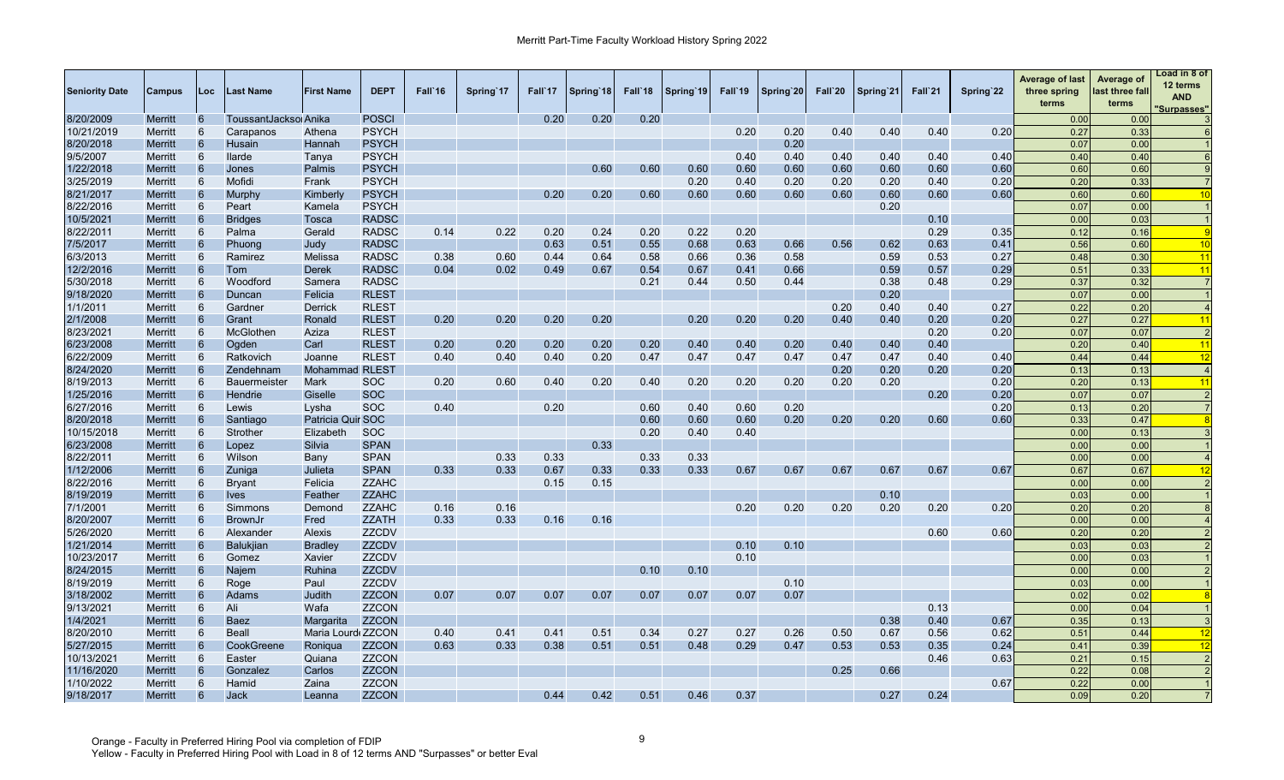| <b>Seniority Date</b> | <b>Campus</b>  | Loc | <b>Last Name</b>      | <b>First Name</b>     | <b>DEPT</b>  | Fall'16 | Spring 17 | Fall 17 | Spring 18 | Fall 18 | Spring 19 | Fall'19 | Spring 20 | Fall`20 | Spring 21 | Fall`21 | Spring 22 | <b>Average of last</b><br>three spring<br>terms | Average of<br>last three fall<br>terms | Load in 8 of<br>12 terms<br><b>AND</b><br><b>Surpasses"</b> |
|-----------------------|----------------|-----|-----------------------|-----------------------|--------------|---------|-----------|---------|-----------|---------|-----------|---------|-----------|---------|-----------|---------|-----------|-------------------------------------------------|----------------------------------------|-------------------------------------------------------------|
| 8/20/2009             | <b>Merritt</b> | 6   | ToussantJacksol Anika |                       | <b>POSCI</b> |         |           | 0.20    | 0.20      | 0.20    |           |         |           |         |           |         |           | 0.00                                            | 0.00                                   |                                                             |
| 10/21/2019            | <b>Merritt</b> | 6   | Carapanos             | Athena                | <b>PSYCH</b> |         |           |         |           |         |           | 0.20    | 0.20      | 0.40    | 0.40      | 0.40    | 0.20      | 0.27                                            | 0.33                                   |                                                             |
| 8/20/2018             | <b>Merritt</b> | 6   | Husain                | Hannah                | <b>PSYCH</b> |         |           |         |           |         |           |         | 0.20      |         |           |         |           | 0.07                                            | 0.00                                   |                                                             |
| 9/5/2007              | Merritt        | 6   | <b>Ilarde</b>         | Tanya                 | <b>PSYCH</b> |         |           |         |           |         |           | 0.40    | 0.40      | 0.40    | 0.40      | 0.40    | 0.40      | 0.40                                            | 0.40                                   |                                                             |
| 1/22/2018             | <b>Merritt</b> | 6   | Jones                 | Palmis                | <b>PSYCH</b> |         |           |         | 0.60      | 0.60    | 0.60      | 0.60    | 0.60      | 0.60    | 0.60      | 0.60    | 0.60      | 0.60                                            | 0.60                                   |                                                             |
| 3/25/2019             | <b>Merritt</b> | 6   | Mofidi                | Frank                 | <b>PSYCH</b> |         |           |         |           |         | 0.20      | 0.40    | 0.20      | 0.20    | 0.20      | 0.40    | 0.20      | 0.20                                            | 0.33                                   |                                                             |
| 8/21/2017             | <b>Merritt</b> | 6   | Murphy                | Kimberly              | <b>PSYCH</b> |         |           | 0.20    | 0.20      | 0.60    | 0.60      | 0.60    | 0.60      | 0.60    | 0.60      | 0.60    | 0.60      | 0.60                                            | 0.60                                   | $\overline{10}$                                             |
| 8/22/2016             | <b>Merritt</b> | 6   | Peart                 | Kamela                | <b>PSYCH</b> |         |           |         |           |         |           |         |           |         | 0.20      |         |           | 0.07                                            | 0.00                                   |                                                             |
| 10/5/2021             | Merritt        | 6   | <b>Bridges</b>        | Tosca                 | <b>RADSC</b> |         |           |         |           |         |           |         |           |         |           | 0.10    |           | 0.00                                            | 0.03                                   |                                                             |
| 8/22/2011             | <b>Merritt</b> | 6   | Palma                 | Gerald                | <b>RADSC</b> | 0.14    | 0.22      | 0.20    | 0.24      | 0.20    | 0.22      | 0.20    |           |         |           | 0.29    | 0.35      | 0.12                                            | 0.16                                   |                                                             |
| 7/5/2017              | Merritt        | 6   | Phuong                | Judy                  | <b>RADSC</b> |         |           | 0.63    | 0.51      | 0.55    | 0.68      | 0.63    | 0.66      | 0.56    | 0.62      | 0.63    | 0.41      | 0.56                                            | 0.60                                   | 10                                                          |
| 6/3/2013              | Merritt        | 6   | Ramirez               | Melissa               | <b>RADSC</b> | 0.38    | 0.60      | 0.44    | 0.64      | 0.58    | 0.66      | 0.36    | 0.58      |         | 0.59      | 0.53    | 0.27      | 0.48                                            | 0.30                                   | 11                                                          |
| 12/2/2016             | <b>Merritt</b> | 6   | Tom                   | <b>Derek</b>          | <b>RADSC</b> | 0.04    | 0.02      | 0.49    | 0.67      | 0.54    | 0.67      | 0.41    | 0.66      |         | 0.59      | 0.57    | 0.29      | 0.51                                            | 0.33                                   | 11                                                          |
| 5/30/2018             | Merritt        | 6   | Woodford              | Samera                | <b>RADSC</b> |         |           |         |           | 0.21    | 0.44      | 0.50    | 0.44      |         | 0.38      | 0.48    | 0.29      | 0.37                                            | 0.32                                   |                                                             |
| 9/18/2020             | <b>Merritt</b> | 6   | Duncan                | Felicia               | <b>RLEST</b> |         |           |         |           |         |           |         |           |         | 0.20      |         |           | 0.07                                            | 0.00                                   |                                                             |
| 1/1/2011              | <b>Merritt</b> |     | Gardner               | <b>Derrick</b>        | <b>RLEST</b> |         |           |         |           |         |           |         |           | 0.20    | 0.40      | 0.40    | 0.27      | 0.22                                            | 0.20                                   | $\Delta$                                                    |
| 2/1/2008              | <b>Merritt</b> | 6   | Grant                 | Ronald                | <b>RLEST</b> | 0.20    | 0.20      | 0.20    | 0.20      |         | 0.20      | 0.20    | 0.20      | 0.40    | 0.40      | 0.20    | 0.20      | 0.27                                            | 0.27                                   | 11                                                          |
| 8/23/2021             | <b>Merritt</b> | 6   | McGlothen             | Aziza                 | <b>RLEST</b> |         |           |         |           |         |           |         |           |         |           | 0.20    | 0.20      | 0.07                                            | 0.07                                   |                                                             |
| 6/23/2008             | <b>Merritt</b> | 6   | Ogden                 | Carl                  | <b>RLEST</b> | 0.20    | 0.20      | 0.20    | 0.20      | 0.20    | 0.40      | 0.40    | 0.20      | 0.40    | 0.40      | 0.40    |           | 0.20                                            | 0.40                                   | 11                                                          |
| 6/22/2009             | Merritt        |     | Ratkovich             | Joanne                | <b>RLEST</b> | 0.40    | 0.40      | 0.40    | 0.20      | 0.47    | 0.47      | 0.47    | 0.47      | 0.47    | 0.47      | 0.40    | 0.40      | 0.44                                            | 0.44                                   | 12                                                          |
| 8/24/2020             | <b>Merritt</b> | 6   | Zendehnam             | <b>Mohammad RLEST</b> |              |         |           |         |           |         |           |         |           | 0.20    | 0.20      | 0.20    | 0.20      | 0.13                                            | 0.13                                   | $\overline{4}$                                              |
| 8/19/2013             | Merritt        | 6   | <b>Bauermeister</b>   | Mark                  | <b>SOC</b>   | 0.20    | 0.60      | 0.40    | 0.20      | 0.40    | 0.20      | 0.20    | 0.20      | 0.20    | 0.20      |         | 0.20      | 0.20                                            | 0.13                                   | 11                                                          |
| 1/25/2016             | <b>Merritt</b> | 6   | Hendrie               | Giselle               | <b>SOC</b>   |         |           |         |           |         |           |         |           |         |           | 0.20    | 0.20      | 0.07                                            | 0.07                                   |                                                             |
| 6/27/2016             | Merritt        | 6   | Lewis                 | Lysha                 | <b>SOC</b>   | 0.40    |           | 0.20    |           | 0.60    | 0.40      | 0.60    | 0.20      |         |           |         | 0.20      | 0.13                                            | 0.20                                   |                                                             |
| 8/20/2018             | <b>Merritt</b> | 6   | Santiago              | Patricia Quir SOC     |              |         |           |         |           | 0.60    | 0.60      | 0.60    | 0.20      | 0.20    | 0.20      | 0.60    | 0.60      | 0.33                                            | 0.47                                   |                                                             |
| 10/15/2018            | <b>Merritt</b> | 6   | Strother              | Elizabeth             | <b>SOC</b>   |         |           |         |           | 0.20    | 0.40      | 0.40    |           |         |           |         |           | 0.00                                            | 0.13                                   |                                                             |
| 6/23/2008             | <b>Merritt</b> | 6   | Lopez                 | Silvia                | <b>SPAN</b>  |         |           |         | 0.33      |         |           |         |           |         |           |         |           | 0.00                                            | 0.00                                   |                                                             |
| 8/22/2011             | Merritt        | 6   | Wilson                | Bany                  | <b>SPAN</b>  |         | 0.33      | 0.33    |           | 0.33    | 0.33      |         |           |         |           |         |           | 0.00                                            | 0.00                                   |                                                             |
| 1/12/2006             | <b>Merritt</b> | 6   | Zuniga                | Julieta               | <b>SPAN</b>  | 0.33    | 0.33      | 0.67    | 0.33      | 0.33    | 0.33      | 0.67    | 0.67      | 0.67    | 0.67      | 0.67    | 0.67      | 0.67                                            | 0.67                                   | 12                                                          |
| 8/22/2016             | Merritt        | 6   | <b>Bryant</b>         | Felicia               | <b>ZZAHC</b> |         |           | 0.15    | 0.15      |         |           |         |           |         |           |         |           | 0.00                                            | 0.00                                   |                                                             |
| 8/19/2019             | <b>Merritt</b> | 6   | <b>Ives</b>           | Feather               | <b>ZZAHC</b> |         |           |         |           |         |           |         |           |         | 0.10      |         |           | 0.03                                            | 0.00                                   |                                                             |
| 7/1/2001              | Merritt        | 6   | Simmons               | Demond                | <b>ZZAHC</b> | 0.16    | 0.16      |         |           |         |           | 0.20    | 0.20      | 0.20    | 0.20      | 0.20    | 0.20      | 0.20                                            | 0.20                                   |                                                             |
| 8/20/2007             | <b>Merritt</b> | 6   | <b>BrownJr</b>        | Fred                  | <b>ZZATH</b> | 0.33    | 0.33      | 0.16    | 0.16      |         |           |         |           |         |           |         |           | 0.00                                            | 0.00                                   |                                                             |
| 5/26/2020             | <b>Merritt</b> | 6   | Alexander             | Alexis                | <b>ZZCDV</b> |         |           |         |           |         |           |         |           |         |           | 0.60    | 0.60      | 0.20                                            | 0.20                                   |                                                             |
| 1/21/2014             | <b>Merritt</b> |     | <b>Balukjian</b>      | <b>Bradley</b>        | <b>ZZCDV</b> |         |           |         |           |         |           | 0.10    | 0.10      |         |           |         |           | 0.03                                            | 0.03                                   |                                                             |
| 10/23/2017            | <b>Merritt</b> | 6   | Gomez                 | Xavier                | <b>ZZCDV</b> |         |           |         |           |         |           | 0.10    |           |         |           |         |           | 0.00                                            | 0.03                                   |                                                             |
| 8/24/2015             |                |     |                       | Ruhina                | <b>ZZCDV</b> |         |           |         |           | 0.10    | 0.10      |         |           |         |           |         |           | 0.00                                            | 0.00                                   |                                                             |
| 8/19/2019             | <b>Merritt</b> | 6   | Najem                 | Paul                  | <b>ZZCDV</b> |         |           |         |           |         |           |         | 0.10      |         |           |         |           | 0.03                                            |                                        |                                                             |
|                       | Merritt        | 6   | Roge                  |                       |              |         |           |         |           |         |           | 0.07    |           |         |           |         |           |                                                 | 0.00                                   |                                                             |
| 3/18/2002             | <b>Merritt</b> |     | Adams                 | Judith                | <b>ZZCON</b> | 0.07    | 0.07      | 0.07    | 0.07      | 0.07    | 0.07      |         | 0.07      |         |           |         |           | 0.02                                            | 0.02                                   |                                                             |
| 9/13/2021             | Merritt        | 6   | Ali                   | Wafa                  | <b>ZZCON</b> |         |           |         |           |         |           |         |           |         |           | 0.13    |           | 0.00                                            | 0.04                                   |                                                             |
| 1/4/2021              | <b>Merritt</b> | 6   | <b>Baez</b>           | Margarita             | <b>ZZCON</b> |         |           |         |           |         |           |         |           |         | 0.38      | 0.40    | 0.67      | 0.35                                            | 0.13                                   |                                                             |
| 8/20/2010             | Merritt        | 6   | <b>Beall</b>          | Maria Lourd ZZCON     |              | 0.40    | 0.41      | 0.41    | 0.51      | 0.34    | 0.27      | 0.27    | 0.26      | 0.50    | 0.67      | 0.56    | 0.62      | 0.51                                            | 0.44                                   | 12                                                          |
| 5/27/2015             | Merritt        | 6   | CookGreene            | Roniqua               | <b>ZZCON</b> | 0.63    | 0.33      | 0.38    | 0.51      | 0.51    | 0.48      | 0.29    | 0.47      | 0.53    | 0.53      | 0.35    | 0.24      | 0.41                                            | 0.39                                   | 12                                                          |
| 10/13/2021            | <b>Merritt</b> | 6   | Easter                | Quiana                | <b>ZZCON</b> |         |           |         |           |         |           |         |           |         |           | 0.46    | 0.63      | 0.21                                            | 0.15                                   |                                                             |
| 11/16/2020            | Merritt        |     | Gonzalez              | Carlos                | <b>ZZCON</b> |         |           |         |           |         |           |         |           | 0.25    | 0.66      |         |           | 0.22                                            | 0.08                                   |                                                             |
| 1/10/2022             | Merritt        | 6   | Hamid                 | Zaina                 | <b>ZZCON</b> |         |           |         |           |         |           |         |           |         |           |         | 0.67      | 0.22                                            | 0.00                                   |                                                             |
| 9/18/2017             | <b>Merritt</b> | 6   | Jack                  | Leanna                | <b>ZZCON</b> |         |           | 0.44    | 0.42      | 0.51    | 0.46      | 0.37    |           |         | 0.27      | 0.24    |           | 0.09                                            | 0.20                                   | $\overline{7}$                                              |